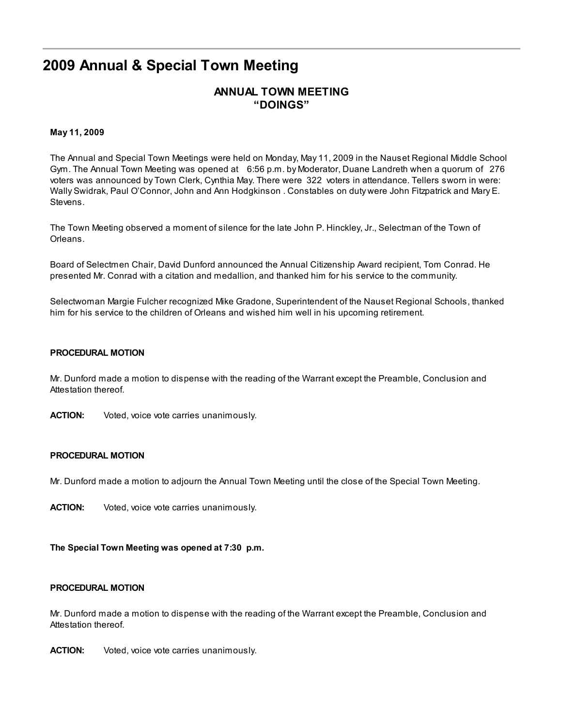# 2009 Annual & Special Town Meeting

# ANNUAL TOWN MEETING "DOINGS"

#### May 11, 2009

The Annual and Special Town Meetings were held on Monday, May 11, 2009 in the Nauset Regional Middle School Gym. The Annual Town Meeting was opened at 6:56 p.m. by Moderator, Duane Landreth when a quorum of 276 voters was announced by Town Clerk, Cynthia May. There were 322 voters in attendance. Tellers sworn in were: Wally Swidrak, Paul O'Connor, John and Ann Hodgkinson . Constables on duty were John Fitzpatrick and Mary E. Stevens.

The Town Meeting observed a moment of silence for the late John P. Hinckley, Jr., Selectman of the Town of Orleans.

Board of Selectmen Chair, David Dunford announced the Annual Citizenship Award recipient, Tom Conrad. He presented Mr. Conrad with a citation and medallion, and thanked him for his service to the community.

Selectwoman Margie Fulcher recognized Mike Gradone, Superintendent of the Nauset Regional Schools, thanked him for his service to the children of Orleans and wished him well in his upcoming retirement.

#### PROCEDURAL MOTION

Mr. Dunford made a motion to dispense with the reading of the Warrant except the Preamble, Conclusion and Attestation thereof.

ACTION: Voted, voice vote carries unanimously.

#### PROCEDURAL MOTION

Mr. Dunford made a motion to adjourn the Annual Town Meeting until the close of the Special Town Meeting.

ACTION: Voted, voice vote carries unanimously.

The Special Town Meeting was opened at 7:30 p.m.

#### PROCEDURAL MOTION

Mr. Dunford made a motion to dispense with the reading of the Warrant except the Preamble, Conclusion and Attestation thereof.

ACTION: Voted, voice vote carries unanimously.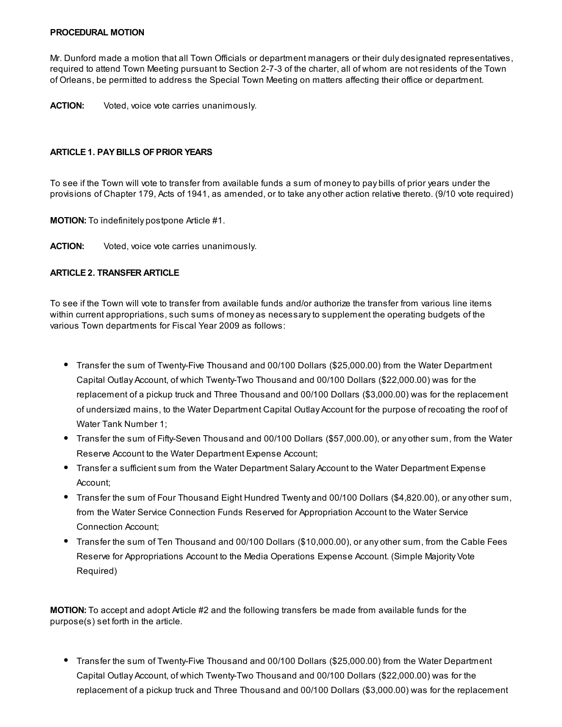#### PROCEDURAL MOTION

Mr. Dunford made a motion that all Town Officials or department managers or their duly designated representatives, required to attend Town Meeting pursuant to Section 2-7-3 of the charter, all of whom are not residents of the Town of Orleans, be permitted to address the Special Town Meeting on matters affecting their office or department.

ACTION: Voted, voice vote carries unanimously.

#### ARTICLE 1. PAY BILLS OF PRIOR YEARS

To see if the Town will vote to transfer from available funds a sum of money to pay bills of prior years under the provisions of Chapter 179, Acts of 1941, as amended, or to take any other action relative thereto. (9/10 vote required)

MOTION: To indefinitely postpone Article #1.

ACTION: Voted, voice vote carries unanimously.

## ARTICLE 2. TRANSFER ARTICLE

To see if the Town will vote to transfer from available funds and/or authorize the transfer from various line items within current appropriations, such sums of money as necessary to supplement the operating budgets of the various Town departments for Fiscal Year 2009 as follows:

- Transfer the sum of Twenty-Five Thousand and 00/100 Dollars (\$25,000.00) from the Water Department Capital Outlay Account, of which Twenty-Two Thousand and 00/100 Dollars (\$22,000.00) was for the replacement of a pickup truck and Three Thousand and 00/100 Dollars (\$3,000.00) was for the replacement of undersized mains, to the Water Department Capital Outlay Account for the purpose of recoating the roof of Water Tank Number 1;
- Transfer the sum of Fifty-Seven Thousand and 00/100 Dollars (\$57,000.00), or any other sum, from the Water Reserve Account to the Water Department Expense Account;
- Transfer a sufficient sum from the Water Department Salary Account to the Water Department Expense Account;
- Transfer the sum of Four Thousand Eight Hundred Twenty and 00/100 Dollars (\$4,820.00), or any other sum, from the Water Service Connection Funds Reserved for Appropriation Account to the Water Service Connection Account;
- Transfer the sum of Ten Thousand and 00/100 Dollars (\$10,000.00), or any other sum, from the Cable Fees Reserve for Appropriations Account to the Media Operations Expense Account. (Simple Majority Vote Required)

MOTION: To accept and adopt Article #2 and the following transfers be made from available funds for the purpose(s) set forth in the article.

Transfer the sum of Twenty-Five Thousand and 00/100 Dollars (\$25,000.00) from the Water Department Capital Outlay Account, of which Twenty-Two Thousand and 00/100 Dollars (\$22,000.00) was for the replacement of a pickup truck and Three Thousand and 00/100 Dollars (\$3,000.00) was for the replacement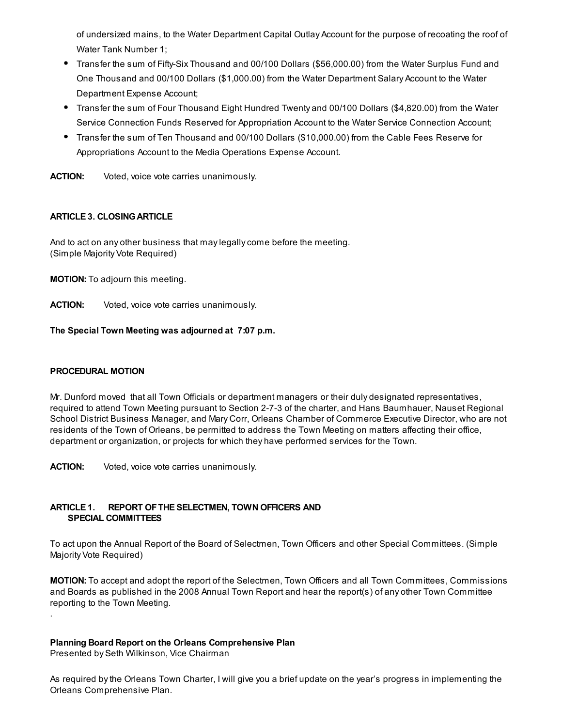of undersized mains, to the Water Department Capital Outlay Account for the purpose of recoating the roof of Water Tank Number 1;

- Transfer the sum of Fifty-Six Thousand and 00/100 Dollars (\$56,000.00) from the Water Surplus Fund and One Thousand and 00/100 Dollars (\$1,000.00) from the Water Department Salary Account to the Water Department Expense Account;
- Transfer the sum of Four Thousand Eight Hundred Twenty and 00/100 Dollars (\$4,820.00) from the Water Service Connection Funds Reserved for Appropriation Account to the Water Service Connection Account;
- Transfer the sum of Ten Thousand and 00/100 Dollars (\$10,000.00) from the Cable Fees Reserve for Appropriations Account to the Media Operations Expense Account.

ACTION: Voted, voice vote carries unanimously.

## **ARTICLE 3. CLOSING ARTICLE**

And to act on any other business that may legally come before the meeting. (Simple Majority Vote Required)

MOTION: To adjourn this meeting.

**ACTION:** Voted, voice vote carries unanimously.

## The Special Town Meeting was adjourned at 7:07 p.m.

## PROCEDURAL MOTION

.

Mr. Dunford moved that all Town Officials or department managers or their duly designated representatives, required to attend Town Meeting pursuant to Section 2-7-3 of the charter, and Hans Baumhauer, Nauset Regional School District Business Manager, and Mary Corr, Orleans Chamber of Commerce Executive Director, who are not residents of the Town of Orleans, be permitted to address the Town Meeting on matters affecting their office, department or organization, or projects for which they have performed services for the Town.

**ACTION:** Voted, voice vote carries unanimously.

## ARTICLE 1. REPORT OFTHE SELECTMEN, TOWN OFFICERS AND SPECIAL COMMITTEES

To act upon the Annual Report of the Board of Selectmen, Town Officers and other Special Committees. (Simple Majority Vote Required)

MOTION: To accept and adopt the report of the Selectmen, Town Officers and all Town Committees, Commissions and Boards as published in the 2008 Annual Town Report and hear the report(s) of any other Town Committee reporting to the Town Meeting.

## Planning Board Report on the Orleans Comprehensive Plan

Presented by Seth Wilkinson, Vice Chairman

As required by the Orleans Town Charter, I will give you a brief update on the year's progress in implementing the Orleans Comprehensive Plan.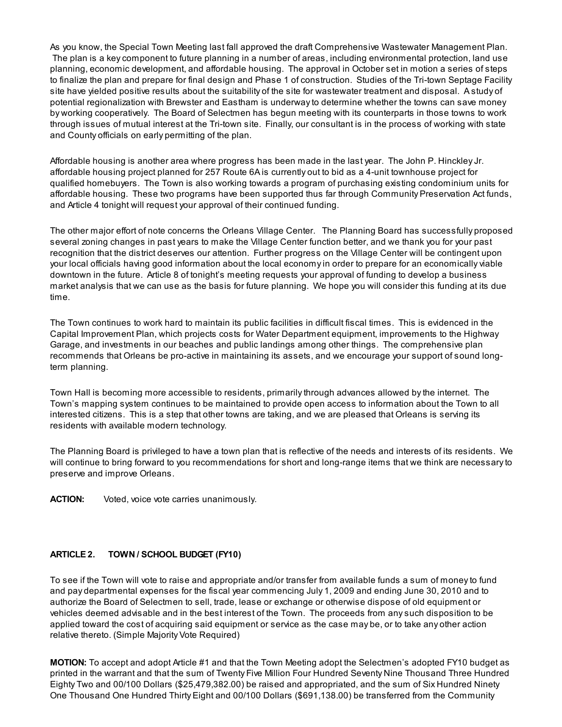As you know, the Special Town Meeting last fall approved the draft Comprehensive Wastewater Management Plan. The plan is a key component to future planning in a number of areas, including environmental protection, land use planning, economic development, and affordable housing. The approval in October set in motion a series of steps to finalize the plan and prepare for final design and Phase 1 of construction. Studies of the Tri-town Septage Facility site have yielded positive results about the suitability of the site for wastewater treatment and disposal. A study of potential regionalization with Brewster and Eastham is underway to determine whether the towns can save money by working cooperatively. The Board of Selectmen has begun meeting with its counterparts in those towns to work through issues of mutual interest at the Tri-town site. Finally, our consultant is in the process of working with state and County officials on early permitting of the plan.

Affordable housing is another area where progress has been made in the last year. The John P. Hinckley Jr. affordable housing project planned for 257 Route 6A is currently out to bid as a 4-unit townhouse project for qualified homebuyers. The Town is also working towards a program of purchasing existing condominium units for affordable housing. These two programs have been supported thus far through Community Preservation Act funds, and Article 4 tonight will request your approval of their continued funding.

The other major effort of note concerns the Orleans Village Center. The Planning Board has successfully proposed several zoning changes in past years to make the Village Center function better, and we thank you for your past recognition that the district deserves our attention. Further progress on the Village Center will be contingent upon your local officials having good information about the local economy in order to prepare for an economically viable downtown in the future. Article 8 of tonight's meeting requests your approval of funding to develop a business market analysis that we can use as the basis for future planning. We hope you will consider this funding at its due time.

The Town continues to work hard to maintain its public facilities in difficult fiscal times. This is evidenced in the Capital Improvement Plan, which projects costs for Water Department equipment, improvements to the Highway Garage, and investments in our beaches and public landings among other things. The comprehensive plan recommends that Orleans be pro-active in maintaining its assets, and we encourage your support of sound longterm planning.

Town Hall is becoming more accessible to residents, primarily through advances allowed by the internet. The Town's mapping system continues to be maintained to provide open access to information about the Town to all interested citizens. This is a step that other towns are taking, and we are pleased that Orleans is serving its residents with available modern technology.

The Planning Board is privileged to have a town plan that is reflective of the needs and interests of its residents. We will continue to bring forward to you recommendations for short and long-range items that we think are necessary to preserve and improve Orleans.

**ACTION:** Voted, voice vote carries unanimously.

## ARTICLE 2. TOWN / SCHOOL BUDGET (FY10)

To see if the Town will vote to raise and appropriate and/or transfer from available funds a sum of money to fund and pay departmental expenses for the fiscal year commencing July 1, 2009 and ending June 30, 2010 and to authorize the Board of Selectmen to sell, trade, lease or exchange or otherwise dispose of old equipment or vehicles deemed advisable and in the best interest of the Town. The proceeds from any such disposition to be applied toward the cost of acquiring said equipment or service as the case may be, or to take any other action relative thereto. (Simple Majority Vote Required)

**MOTION:** To accept and adopt Article #1 and that the Town Meeting adopt the Selectmen's adopted FY10 budget as printed in the warrant and that the sum of Twenty Five Million Four Hundred Seventy Nine Thousand Three Hundred Eighty Two and 00/100 Dollars (\$25,479,382.00) be raised and appropriated, and the sum of Six Hundred Ninety One Thousand One Hundred Thirty Eight and 00/100 Dollars (\$691,138.00) be transferred from the Community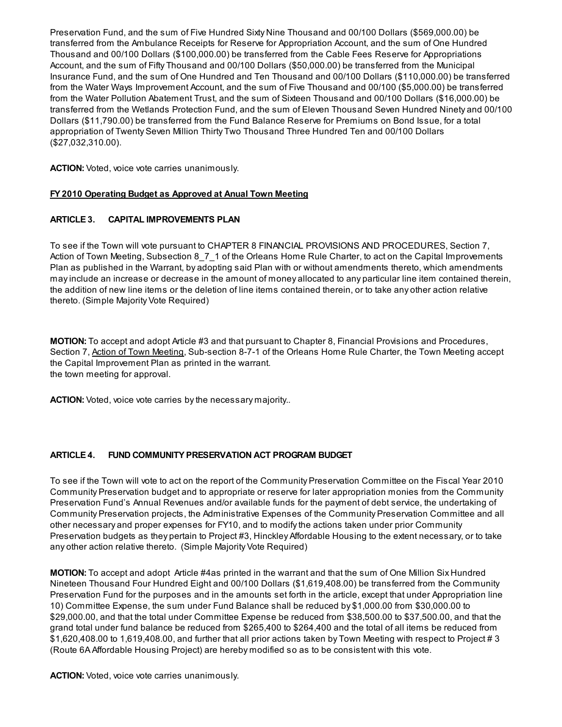Preservation Fund, and the sum of Five Hundred Sixty Nine Thousand and 00/100 Dollars (\$569,000.00) be transferred from the Ambulance Receipts for Reserve for Appropriation Account, and the sum of One Hundred Thousand and 00/100 Dollars (\$100,000.00) be transferred from the Cable Fees Reserve for Appropriations Account, and the sum of Fifty Thousand and 00/100 Dollars (\$50,000.00) be transferred from the Municipal Insurance Fund, and the sum of One Hundred and Ten Thousand and 00/100 Dollars (\$110,000.00) be transferred from the Water Ways Improvement Account, and the sum of Five Thousand and 00/100 (\$5,000.00) be transferred from the Water Pollution Abatement Trust, and the sum of Sixteen Thousand and 00/100 Dollars (\$16,000.00) be transferred from the Wetlands Protection Fund, and the sum of Eleven Thousand Seven Hundred Ninety and 00/100 Dollars (\$11,790.00) be transferred from the Fund Balance Reserve for Premiums on Bond Issue, for a total appropriation of Twenty Seven Million Thirty Two Thousand Three Hundred Ten and 00/100 Dollars (\$27,032,310.00).

ACTION: Voted, voice vote carries unanimously.

## FY 2010 [Operating](http://www.town.orleans.ma.us/Pages/OrleansMA_Clerk/Budget-FY2010-ATM.pdf) Budget as Approved at Anual Town Meeting

## ARTICLE 3. CAPITAL IMPROVEMENTS PLAN

To see if the Town will vote pursuant to CHAPTER 8 FINANCIAL PROVISIONS AND PROCEDURES, Section 7, Action of Town Meeting, Subsection 8\_7\_1 of the Orleans Home Rule Charter, to act on the Capital Improvements Plan as published in the Warrant, by adopting said Plan with or without amendments thereto, which amendments may include an increase or decrease in the amount of money allocated to any particular line item contained therein, the addition of new line items or the deletion of line items contained therein, or to take any other action relative thereto. (Simple Majority Vote Required)

MOTION: To accept and adopt Article #3 and that pursuant to Chapter 8, Financial Provisions and Procedures, Section 7, Action of Town Meeting, Sub-section 8-7-1 of the Orleans Home Rule Charter, the Town Meeting accept the Capital Improvement Plan as printed in the warrant. the town meeting for approval.

ACTION: Voted, voice vote carries by the necessary majority...

## ARTICLE 4. FUND COMMUNITY PRESERVATION ACT PROGRAM BUDGET

To see if the Town will vote to act on the report of the Community Preservation Committee on the Fiscal Year 2010 Community Preservation budget and to appropriate or reserve for later appropriation monies from the Community Preservation Fund's Annual Revenues and/or available funds for the payment of debt service, the undertaking of Community Preservation projects, the Administrative Expenses of the Community Preservation Committee and all other necessary and proper expenses for FY10, and to modify the actions taken under prior Community Preservation budgets as they pertain to Project #3, Hinckley Affordable Housing to the extent necessary, or to take any other action relative thereto. (Simple Majority Vote Required)

MOTION: To accept and adopt Article #4as printed in the warrant and that the sum of One Million Six Hundred Nineteen Thousand Four Hundred Eight and 00/100 Dollars (\$1,619,408.00) be transferred from the Community Preservation Fund for the purposes and in the amounts set forth in the article, except that under Appropriation line 10) Committee Expense, the sum under Fund Balance shall be reduced by \$1,000.00 from \$30,000.00 to \$29,000.00, and that the total under Committee Expense be reduced from \$38,500.00 to \$37,500.00, and that the grand total under fund balance be reduced from \$265,400 to \$264,400 and the total of all items be reduced from \$1,620,408.00 to 1,619,408.00, and further that all prior actions taken by Town Meeting with respect to Project # 3 (Route 6A Affordable Housing Project) are hereby modified so as to be consistent with this vote.

ACTION: Voted, voice vote carries unanimously.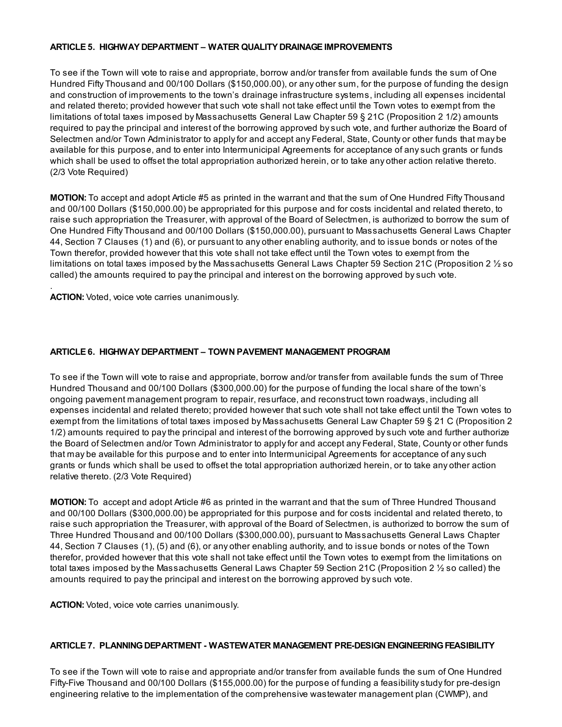#### ARTICLE 5. HIGHWAY DEPARTMENT – WATER QUALITY DRAINAGE IMPROVEMENTS

To see if the Town will vote to raise and appropriate, borrow and/or transfer from available funds the sum of One Hundred Fifty Thousand and 00/100 Dollars (\$150,000.00), or any other sum, for the purpose of funding the design and construction of improvements to the town's drainage infrastructure systems, including all expenses incidental and related thereto; provided however that such vote shall not take effect until the Town votes to exempt from the limitations of total taxes imposed by Massachusetts General Law Chapter 59 § 21C (Proposition 2 1/2) amounts required to pay the principal and interest of the borrowing approved by such vote, and further authorize the Board of Selectmen and/or Town Administrator to apply for and accept any Federal, State, County or other funds that may be available for this purpose, and to enter into Intermunicipal Agreements for acceptance of any such grants or funds which shall be used to offset the total appropriation authorized herein, or to take any other action relative thereto. (2/3 Vote Required)

MOTION: To accept and adopt Article #5 as printed in the warrant and that the sum of One Hundred Fifty Thousand and 00/100 Dollars (\$150,000.00) be appropriated for this purpose and for costs incidental and related thereto, to raise such appropriation the Treasurer, with approval of the Board of Selectmen, is authorized to borrow the sum of One Hundred Fifty Thousand and 00/100 Dollars (\$150,000.00), pursuant to Massachusetts General Laws Chapter 44, Section 7 Clauses (1) and (6), or pursuant to any other enabling authority, and to issue bonds or notes of the Town therefor, provided however that this vote shall not take effect until the Town votes to exempt from the limitations on total taxes imposed by the Massachusetts General Laws Chapter 59 Section 21C (Proposition 2 ½ so called) the amounts required to pay the principal and interest on the borrowing approved by such vote.

ACTION: Voted, voice vote carries unanimously.

.

## ARTICLE 6. HIGHWAY DEPARTMENT – TOWN PAVEMENT MANAGEMENT PROGRAM

To see if the Town will vote to raise and appropriate, borrow and/or transfer from available funds the sum of Three Hundred Thousand and 00/100 Dollars (\$300,000.00) for the purpose of funding the local share of the town's ongoing pavement management program to repair, resurface, and reconstruct town roadways, including all expenses incidental and related thereto; provided however that such vote shall not take effect until the Town votes to exempt from the limitations of total taxes imposed by Massachusetts General Law Chapter 59 § 21 C (Proposition 2 1/2) amounts required to pay the principal and interest of the borrowing approved by such vote and further authorize the Board of Selectmen and/or Town Administrator to apply for and accept any Federal, State, County or other funds that may be available for this purpose and to enter into Intermunicipal Agreements for acceptance of any such grants or funds which shall be used to offset the total appropriation authorized herein, or to take any other action relative thereto. (2/3 Vote Required)

MOTION: To accept and adopt Article #6 as printed in the warrant and that the sum of Three Hundred Thousand and 00/100 Dollars (\$300,000.00) be appropriated for this purpose and for costs incidental and related thereto, to raise such appropriation the Treasurer, with approval of the Board of Selectmen, is authorized to borrow the sum of Three Hundred Thousand and 00/100 Dollars (\$300,000.00), pursuant to Massachusetts General Laws Chapter 44, Section 7 Clauses (1), (5) and (6), or any other enabling authority, and to issue bonds or notes of the Town therefor, provided however that this vote shall not take effect until the Town votes to exempt from the limitations on total taxes imposed by the Massachusetts General Laws Chapter 59 Section 21C (Proposition 2 ½ so called) the amounts required to pay the principal and interest on the borrowing approved by such vote.

ACTION: Voted, voice vote carries unanimously.

#### ARTICLE 7. PLANNING DEPARTMENT - WASTEWATER MANAGEMENT PRE-DESIGN ENGINEERING FEASIBILITY

To see if the Town will vote to raise and appropriate and/or transfer from available funds the sum of One Hundred Fifty-Five Thousand and 00/100 Dollars (\$155,000.00) for the purpose of funding a feasibility study for pre-design engineering relative to the implementation of the comprehensive wastewater management plan (CWMP), and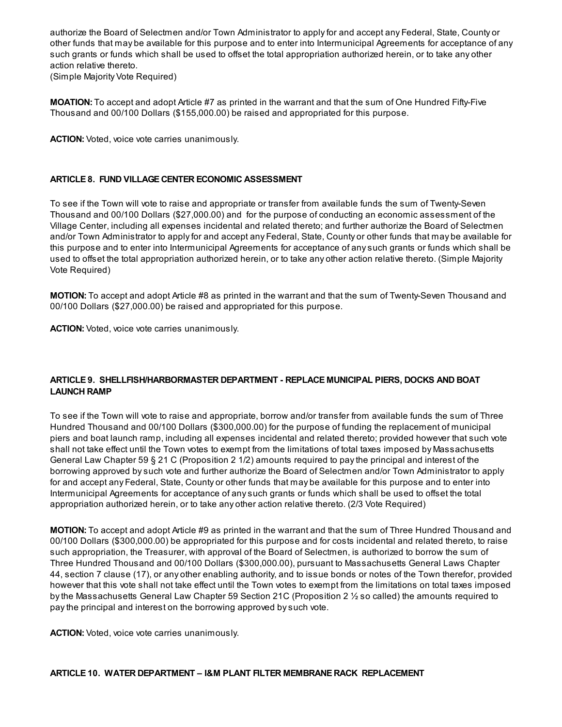authorize the Board of Selectmen and/or Town Administrator to apply for and accept any Federal, State, County or other funds that may be available for this purpose and to enter into Intermunicipal Agreements for acceptance of any such grants or funds which shall be used to offset the total appropriation authorized herein, or to take any other action relative thereto.

(Simple Majority Vote Required)

MOATION: To accept and adopt Article #7 as printed in the warrant and that the sum of One Hundred Fifty-Five Thousand and 00/100 Dollars (\$155,000.00) be raised and appropriated for this purpose.

ACTION: Voted, voice vote carries unanimously.

## ARTICLE 8. FUND VILLAGE CENTER ECONOMIC ASSESSMENT

To see if the Town will vote to raise and appropriate or transfer from available funds the sum of Twenty-Seven Thousand and 00/100 Dollars (\$27,000.00) and for the purpose of conducting an economic assessment of the Village Center, including all expenses incidental and related thereto; and further authorize the Board of Selectmen and/or Town Administrator to apply for and accept any Federal, State, County or other funds that may be available for this purpose and to enter into Intermunicipal Agreements for acceptance of any such grants or funds which shall be used to offset the total appropriation authorized herein, or to take any other action relative thereto. (Simple Majority Vote Required)

MOTION: To accept and adopt Article #8 as printed in the warrant and that the sum of Twenty-Seven Thousand and 00/100 Dollars (\$27,000.00) be raised and appropriated for this purpose.

ACTION: Voted, voice vote carries unanimously.

## ARTICLE 9. SHELLFISH/HARBORMASTER DEPARTMENT - REPLACE MUNICIPAL PIERS, DOCKS AND BOAT LAUNCH RAMP

To see if the Town will vote to raise and appropriate, borrow and/or transfer from available funds the sum of Three Hundred Thousand and 00/100 Dollars (\$300,000.00) for the purpose of funding the replacement of municipal piers and boat launch ramp, including all expenses incidental and related thereto; provided however that such vote shall not take effect until the Town votes to exempt from the limitations of total taxes imposed by Massachusetts General Law Chapter 59 § 21 C (Proposition 2 1/2) amounts required to pay the principal and interest of the borrowing approved by such vote and further authorize the Board of Selectmen and/or Town Administrator to apply for and accept any Federal, State, County or other funds that may be available for this purpose and to enter into Intermunicipal Agreements for acceptance of any such grants or funds which shall be used to offset the total appropriation authorized herein, or to take any other action relative thereto. (2/3 Vote Required)

MOTION: To accept and adopt Article #9 as printed in the warrant and that the sum of Three Hundred Thousand and 00/100 Dollars (\$300,000.00) be appropriated for this purpose and for costs incidental and related thereto, to raise such appropriation, the Treasurer, with approval of the Board of Selectmen, is authorized to borrow the sum of Three Hundred Thousand and 00/100 Dollars (\$300,000.00), pursuant to Massachusetts General Laws Chapter 44, section 7 clause (17), or any other enabling authority, and to issue bonds or notes of the Town therefor, provided however that this vote shall not take effect until the Town votes to exempt from the limitations on total taxes imposed by the Massachusetts General Law Chapter 59 Section 21C (Proposition 2 ½ so called) the amounts required to pay the principal and interest on the borrowing approved by such vote.

ACTION: Voted, voice vote carries unanimously.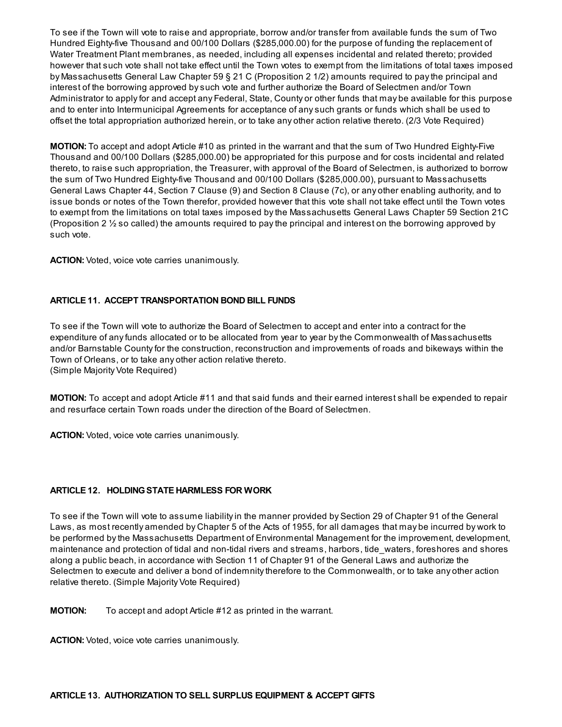To see if the Town will vote to raise and appropriate, borrow and/or transfer from available funds the sum of Two Hundred Eighty-five Thousand and 00/100 Dollars (\$285,000.00) for the purpose of funding the replacement of Water Treatment Plant membranes, as needed, including all expenses incidental and related thereto; provided however that such vote shall not take effect until the Town votes to exempt from the limitations of total taxes imposed by Massachusetts General Law Chapter 59 § 21 C (Proposition 2 1/2) amounts required to pay the principal and interest of the borrowing approved by such vote and further authorize the Board of Selectmen and/or Town Administrator to apply for and accept any Federal, State, County or other funds that may be available for this purpose and to enter into Intermunicipal Agreements for acceptance of any such grants or funds which shall be used to offset the total appropriation authorized herein, or to take any other action relative thereto. (2/3 Vote Required)

MOTION: To accept and adopt Article #10 as printed in the warrant and that the sum of Two Hundred Eighty-Five Thousand and 00/100 Dollars (\$285,000.00) be appropriated for this purpose and for costs incidental and related thereto, to raise such appropriation, the Treasurer, with approval of the Board of Selectmen, is authorized to borrow the sum of Two Hundred Eighty-five Thousand and 00/100 Dollars (\$285,000.00), pursuant to Massachusetts General Laws Chapter 44, Section 7 Clause (9) and Section 8 Clause (7c), or any other enabling authority, and to issue bonds or notes of the Town therefor, provided however that this vote shall not take effect until the Town votes to exempt from the limitations on total taxes imposed by the Massachusetts General Laws Chapter 59 Section 21C (Proposition 2 ½ so called) the amounts required to pay the principal and interest on the borrowing approved by such vote.

ACTION: Voted, voice vote carries unanimously.

## ARTICLE 11. ACCEPT TRANSPORTATION BOND BILL FUNDS

To see if the Town will vote to authorize the Board of Selectmen to accept and enter into a contract for the expenditure of any funds allocated or to be allocated from year to year by the Commonwealth of Massachusetts and/or Barnstable County for the construction, reconstruction and improvements of roads and bikeways within the Town of Orleans, or to take any other action relative thereto. (Simple Majority Vote Required)

MOTION: To accept and adopt Article #11 and that said funds and their earned interest shall be expended to repair and resurface certain Town roads under the direction of the Board of Selectmen.

ACTION: Voted, voice vote carries unanimously.

#### ARTICLE 12. HOLDING STATE HARMLESS FOR WORK

To see if the Town will vote to assume liability in the manner provided by Section 29 of Chapter 91 of the General Laws, as most recently amended by Chapter 5 of the Acts of 1955, for all damages that may be incurred by work to be performed by the Massachusetts Department of Environmental Management for the improvement, development, maintenance and protection of tidal and non-tidal rivers and streams, harbors, tide\_waters, foreshores and shores along a public beach, in accordance with Section 11 of Chapter 91 of the General Laws and authorize the Selectmen to execute and deliver a bond of indemnity therefore to the Commonwealth, or to take any other action relative thereto. (Simple Majority Vote Required)

**MOTION:** To accept and adopt Article #12 as printed in the warrant.

ACTION: Voted, voice vote carries unanimously.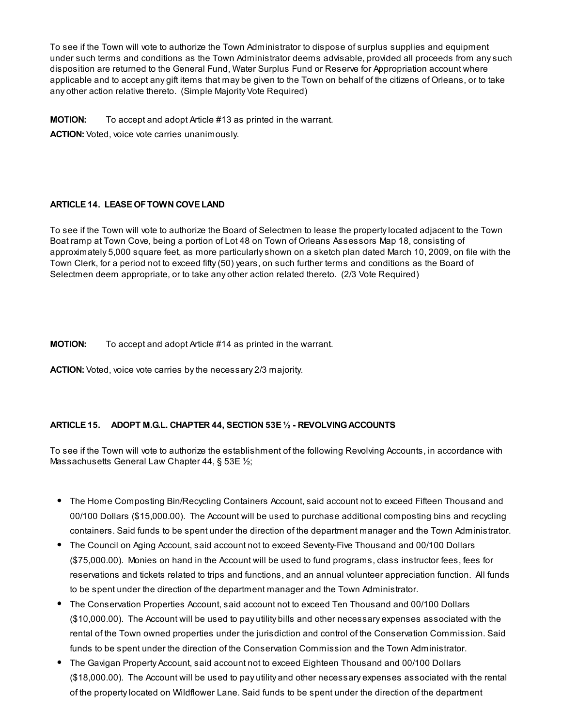To see if the Town will vote to authorize the Town Administrator to dispose of surplus supplies and equipment under such terms and conditions as the Town Administrator deems advisable, provided all proceeds from any such disposition are returned to the General Fund, Water Surplus Fund or Reserve for Appropriation account where applicable and to accept any gift items that may be given to the Town on behalf of the citizens of Orleans, or to take any other action relative thereto. (Simple Majority Vote Required)

**MOTION:** To accept and adopt Article #13 as printed in the warrant.

ACTION: Voted, voice vote carries unanimously.

## ARTICLE 14. LEASE OFTOWN COVE LAND

To see if the Town will vote to authorize the Board of Selectmen to lease the property located adjacent to the Town Boat ramp at Town Cove, being a portion of Lot 48 on Town of Orleans Assessors Map 18, consisting of approximately 5,000 square feet, as more particularly shown on a sketch plan dated March 10, 2009, on file with the Town Clerk, for a period not to exceed fifty (50) years, on such further terms and conditions as the Board of Selectmen deem appropriate, or to take any other action related thereto. (2/3 Vote Required)

**MOTION:** To accept and adopt Article #14 as printed in the warrant.

ACTION: Voted, voice vote carries by the necessary 2/3 majority.

## ARTICLE 15. ADOPT M.G.L. CHAPTER 44, SECTION 53E 1/2 - REVOLVING ACCOUNTS

To see if the Town will vote to authorize the establishment of the following Revolving Accounts, in accordance with Massachusetts General Law Chapter 44, § 53E 1/2;

- The Home Composting Bin/Recycling Containers Account, said account not to exceed Fifteen Thousand and 00/100 Dollars (\$15,000.00). The Account will be used to purchase additional composting bins and recycling containers. Said funds to be spent under the direction of the department manager and the Town Administrator.
- The Council on Aging Account, said account not to exceed Seventy-Five Thousand and 00/100 Dollars (\$75,000.00). Monies on hand in the Account will be used to fund programs, class instructor fees, fees for reservations and tickets related to trips and functions, and an annual volunteer appreciation function. All funds to be spent under the direction of the department manager and the Town Administrator.
- The Conservation Properties Account, said account not to exceed Ten Thousand and 00/100 Dollars (\$10,000.00). The Account will be used to pay utility bills and other necessary expenses associated with the rental of the Town owned properties under the jurisdiction and control of the Conservation Commission. Said funds to be spent under the direction of the Conservation Commission and the Town Administrator.
- The Gavigan Property Account, said account not to exceed Eighteen Thousand and 00/100 Dollars (\$18,000.00). The Account will be used to pay utility and other necessary expenses associated with the rental of the property located on Wildflower Lane. Said funds to be spent under the direction of the department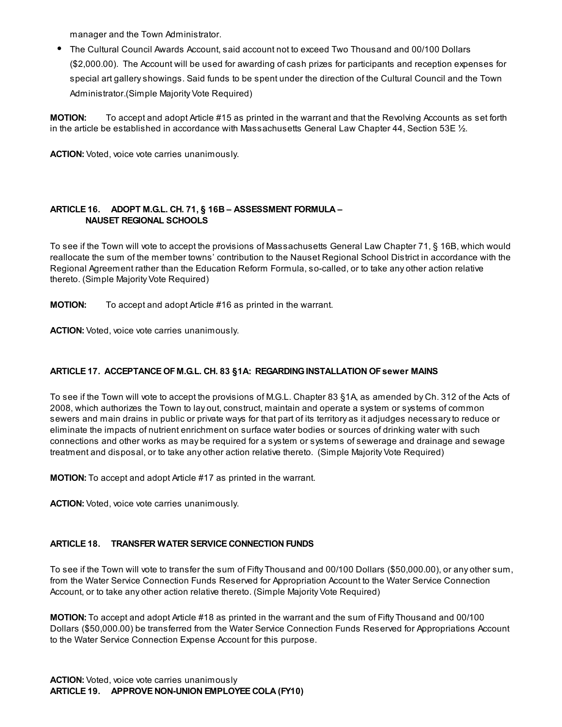manager and the Town Administrator.

The Cultural Council Awards Account, said account not to exceed Two Thousand and 00/100 Dollars (\$2,000.00). The Account will be used for awarding of cash prizes for participants and reception expenses for special art gallery showings. Said funds to be spent under the direction of the Cultural Council and the Town Administrator.(Simple Majority Vote Required)

MOTION: To accept and adopt Article #15 as printed in the warrant and that the Revolving Accounts as set forth in the article be established in accordance with Massachusetts General Law Chapter 44, Section 53E ½.

ACTION: Voted, voice vote carries unanimously.

## ARTICLE 16. ADOPT M.G.L. CH. 71, § 16B – ASSESSMENT FORMULA – NAUSET REGIONAL SCHOOLS

To see if the Town will vote to accept the provisions of Massachusetts General Law Chapter 71, § 16B, which would reallocate the sum of the member towns' contribution to the Nauset Regional School District in accordance with the Regional Agreement rather than the Education Reform Formula, so-called, or to take any other action relative thereto. (Simple Majority Vote Required)

**MOTION:** To accept and adopt Article #16 as printed in the warrant.

ACTION: Voted, voice vote carries unanimously.

## ARTICLE 17. ACCEPTANCE OF M.G.L. CH. 83 §1A: REGARDINGINSTALLATION OFsewer MAINS

To see if the Town will vote to accept the provisions of M.G.L. Chapter 83 §1A, as amended by Ch. 312 of the Acts of 2008, which authorizes the Town to lay out, construct, maintain and operate a system or systems of common sewers and main drains in public or private ways for that part of its territory as it adjudges necessary to reduce or eliminate the impacts of nutrient enrichment on surface water bodies or sources of drinking water with such connections and other works as may be required for a system or systems of sewerage and drainage and sewage treatment and disposal, or to take any other action relative thereto. (Simple Majority Vote Required)

MOTION: To accept and adopt Article #17 as printed in the warrant.

ACTION: Voted, voice vote carries unanimously.

## ARTICLE 18. TRANSFER WATER SERVICE CONNECTION FUNDS

To see if the Town will vote to transfer the sum of Fifty Thousand and 00/100 Dollars (\$50,000.00), or any other sum, from the Water Service Connection Funds Reserved for Appropriation Account to the Water Service Connection Account, or to take any other action relative thereto. (Simple Majority Vote Required)

MOTION: To accept and adopt Article #18 as printed in the warrant and the sum of Fifty Thousand and 00/100 Dollars (\$50,000.00) be transferred from the Water Service Connection Funds Reserved for Appropriations Account to the Water Service Connection Expense Account for this purpose.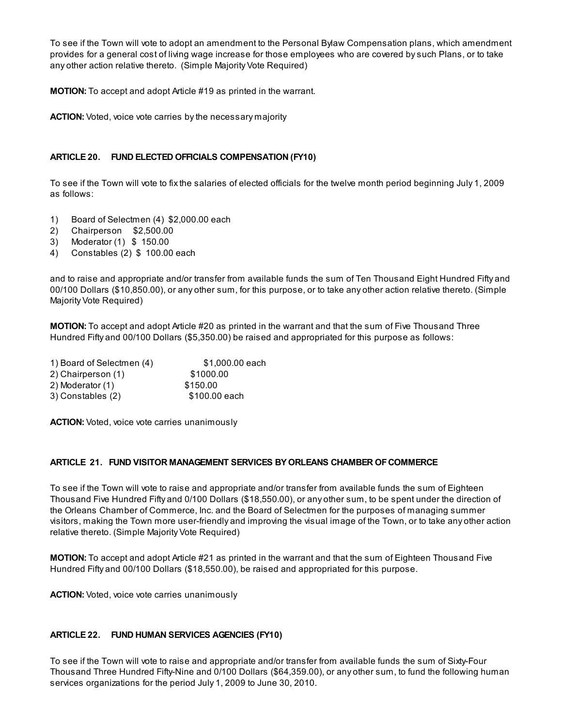To see if the Town will vote to adopt an amendment to the Personal Bylaw Compensation plans, which amendment provides for a general cost of living wage increase for those employees who are covered by such Plans, or to take any other action relative thereto. (Simple Majority Vote Required)

MOTION: To accept and adopt Article #19 as printed in the warrant.

ACTION: Voted, voice vote carries by the necessary majority

## ARTICLE 20. FUND ELECTED OFFICIALS COMPENSATION (FY10)

To see if the Town will vote to fix the salaries of elected officials for the twelve month period beginning July 1, 2009 as follows:

- 1) Board of Selectmen (4) \$2,000.00 each
- 2) Chairperson \$2,500.00
- 3) Moderator (1) \$ 150.00
- 4) Constables (2) \$ 100.00 each

and to raise and appropriate and/or transfer from available funds the sum of Ten Thousand Eight Hundred Fifty and 00/100 Dollars (\$10,850.00), or any other sum, for this purpose, or to take any other action relative thereto. (Simple Majority Vote Required)

MOTION: To accept and adopt Article #20 as printed in the warrant and that the sum of Five Thousand Three Hundred Fifty and 00/100 Dollars (\$5,350.00) be raised and appropriated for this purpose as follows:

| 1) Board of Selectmen (4) | \$1,000.00 each |  |
|---------------------------|-----------------|--|
| 2) Chairperson (1)        | \$1000.00       |  |
| 2) Moderator (1)          | \$150.00        |  |
| 3) Constables (2)         | \$100,00 each   |  |

ACTION: Voted, voice vote carries unanimously

#### ARTICLE 21. FUND VISITOR MANAGEMENT SERVICES BY ORLEANS CHAMBER OF COMMERCE

To see if the Town will vote to raise and appropriate and/or transfer from available funds the sum of Eighteen Thousand Five Hundred Fifty and 0/100 Dollars (\$18,550.00), or any other sum, to be spent under the direction of the Orleans Chamber of Commerce, Inc. and the Board of Selectmen for the purposes of managing summer visitors, making the Town more user-friendly and improving the visual image of the Town, or to take any other action relative thereto. (Simple Majority Vote Required)

MOTION: To accept and adopt Article #21 as printed in the warrant and that the sum of Eighteen Thousand Five Hundred Fifty and 00/100 Dollars (\$18,550.00), be raised and appropriated for this purpose.

ACTION: Voted, voice vote carries unanimously

#### ARTICLE 22. FUND HUMAN SERVICES AGENCIES (FY10)

To see if the Town will vote to raise and appropriate and/or transfer from available funds the sum of Sixty-Four Thousand Three Hundred Fifty-Nine and 0/100 Dollars (\$64,359.00), or any other sum, to fund the following human services organizations for the period July 1, 2009 to June 30, 2010.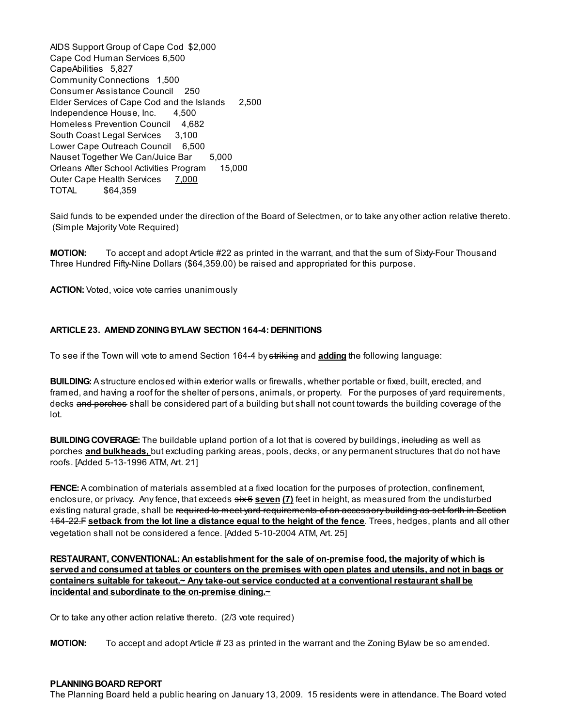AIDS Support Group of Cape Cod \$2,000 Cape Cod Human Services 6,500 CapeAbilities 5,827 Community Connections 1,500 Consumer Assistance Council 250 Elder Services of Cape Cod and the Islands 2,500 Independence House, Inc. 4,500 Homeless Prevention Council 4,682 South Coast Legal Services 3,100 Lower Cape Outreach Council 6,500 Nauset Together We Can/Juice Bar 5,000 Orleans After School Activities Program 15,000 Outer Cape Health Services 7,000 TOTAL \$64,359

Said funds to be expended under the direction of the Board of Selectmen, or to take any other action relative thereto. (Simple Majority Vote Required)

**MOTION:** To accept and adopt Article #22 as printed in the warrant, and that the sum of Sixty-Four Thousand Three Hundred Fifty-Nine Dollars (\$64,359.00) be raised and appropriated for this purpose.

ACTION: Voted, voice vote carries unanimously

## ARTICLE 23. AMEND ZONINGBYLAW SECTION 164-4: DEFINITIONS

To see if the Town will vote to amend Section 164-4 by striking and adding the following language:

**BUILDING:** A structure enclosed with in exterior walls or firewalls, whether portable or fixed, built, erected, and framed, and having a roof for the shelter of persons, animals, or property. For the purposes of yard requirements, decks and porches shall be considered part of a building but shall not count towards the building coverage of the lot.

**BUILDING COVERAGE:** The buildable upland portion of a lot that is covered by buildings, including as well as porches and bulkheads, but excluding parking areas, pools, decks, or any permanent structures that do not have roofs. [Added 5-13-1996 ATM, Art. 21]

**FENCE:** A combination of materials assembled at a fixed location for the purposes of protection, confinement, enclosure, or privacy. Any fence, that exceeds  $\frac{1}{2}$  seven (7) feet in height, as measured from the undisturbed existing natural grade, shall be required to meet yard requirements of an accessory building as set forth in Section 164-22.F setback from the lot line a distance equal to the height of the fence. Trees, hedges, plants and all other vegetation shall not be considered a fence. [Added 5-10-2004 ATM, Art. 25]

RESTAURANT, CONVENTIONAL: An establishment for the sale of on-premise food, the majority of which is served and consumed at tables or counters on the premises with open plates and utensils, and not in bags or containers suitable for takeout.~ Any take-out service conducted at a conventional restaurant shall be incidental and subordinate to the on-premise dining.~

Or to take any other action relative thereto. (2/3 vote required)

**MOTION:** To accept and adopt Article #23 as printed in the warrant and the Zoning Bylaw be so amended.

#### PLANNING BOARD REPORT

The Planning Board held a public hearing on January 13, 2009. 15 residents were in attendance. The Board voted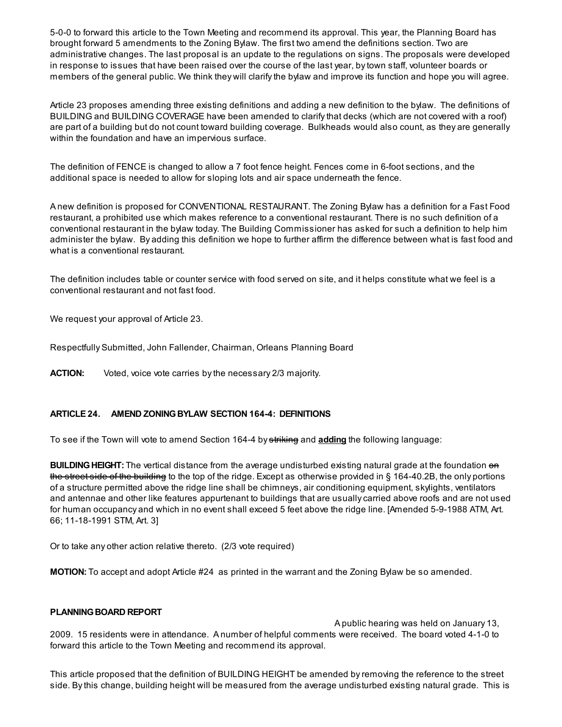5-0-0 to forward this article to the Town Meeting and recommend its approval. This year, the Planning Board has brought forward 5 amendments to the Zoning Bylaw. The first two amend the definitions section. Two are administrative changes. The last proposal is an update to the regulations on signs. The proposals were developed in response to issues that have been raised over the course of the last year, by town staff, volunteer boards or members of the general public. We think they will clarify the bylaw and improve its function and hope you will agree.

Article 23 proposes amending three existing definitions and adding a new definition to the bylaw. The definitions of BUILDING and BUILDING COVERAGE have been amended to clarify that decks (which are not covered with a roof) are part of a building but do not count toward building coverage. Bulkheads would also count, as they are generally within the foundation and have an impervious surface.

The definition of FENCE is changed to allow a 7 foot fence height. Fences come in 6-foot sections, and the additional space is needed to allow for sloping lots and air space underneath the fence.

A new definition is proposed for CONVENTIONAL RESTAURANT. The Zoning Bylaw has a definition for a Fast Food restaurant, a prohibited use which makes reference to a conventional restaurant. There is no such definition of a conventional restaurant in the bylaw today. The Building Commissioner has asked for such a definition to help him administer the bylaw. By adding this definition we hope to further affirm the difference between what is fast food and what is a conventional restaurant.

The definition includes table or counter service with food served on site, and it helps constitute what we feel is a conventional restaurant and not fast food.

We request your approval of Article 23.

Respectfully Submitted, John Fallender, Chairman, Orleans Planning Board

**ACTION:** Voted, voice vote carries by the necessary 2/3 majority.

#### ARTICLE 24. AMEND ZONINGBYLAW SECTION 164-4: DEFINITIONS

To see if the Town will vote to amend Section 164-4 by striking and adding the following language:

**BUILDING HEIGHT:** The vertical distance from the average undisturbed existing natural grade at the foundation on the street side of the building to the top of the ridge. Except as otherwise provided in § 164-40.2B, the only portions of a structure permitted above the ridge line shall be chimneys, air conditioning equipment, skylights, ventilators and antennae and other like features appurtenant to buildings that are usually carried above roofs and are not used for human occupancy and which in no event shall exceed 5 feet above the ridge line. [Amended 5-9-1988 ATM, Art. 66; 11-18-1991 STM, Art. 3]

Or to take any other action relative thereto. (2/3 vote required)

**MOTION:** To accept and adopt Article #24 as printed in the warrant and the Zoning Bylaw be so amended.

#### PLANNING BOARD REPORT

A public hearing was held on January 13, 2009. 15 residents were in attendance. A number of helpful comments were received. The board voted 4-1-0 to forward this article to the Town Meeting and recommend its approval.

This article proposed that the definition of BUILDING HEIGHT be amended by removing the reference to the street side. By this change, building height will be measured from the average undisturbed existing natural grade. This is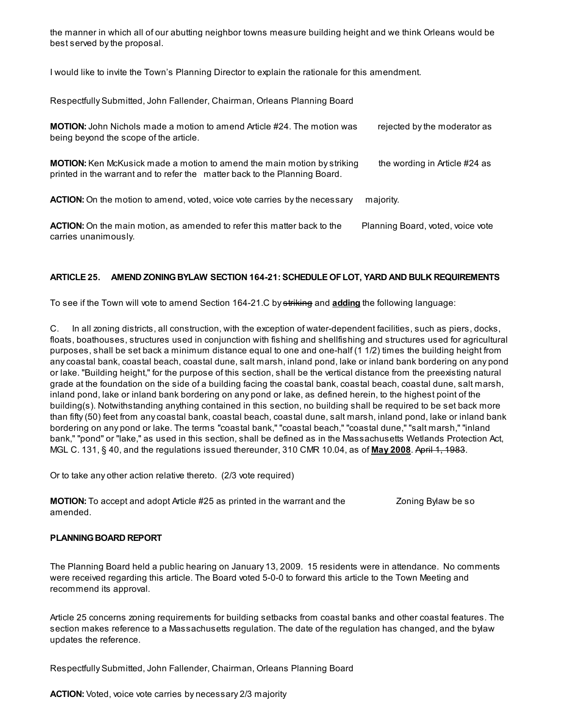the manner in which all of our abutting neighbor towns measure building height and we think Orleans would be best served by the proposal.

I would like to invite the Town's Planning Director to explain the rationale for this amendment.

Respectfully Submitted, John Fallender, Chairman, Orleans Planning Board

| <b>MOTION:</b> John Nichols made a motion to amend Article #24. The motion was<br>being beyond the scope of the article.                                     | rejected by the moderator as      |
|--------------------------------------------------------------------------------------------------------------------------------------------------------------|-----------------------------------|
| <b>MOTION:</b> Ken McKusick made a motion to amend the main motion by striking<br>printed in the warrant and to refer the matter back to the Planning Board. | the wording in Article #24 as     |
| <b>ACTION:</b> On the motion to amend, voted, voice vote carries by the necessary                                                                            | majority.                         |
| <b>ACTION:</b> On the main motion, as amended to refer this matter back to the<br>carries unanimously.                                                       | Planning Board, voted, voice vote |

## ARTICLE 25. AMEND ZONINGBYLAW SECTION 164-21: SCHEDULE OFLOT, YARD AND BULK REQUIREMENTS

To see if the Town will vote to amend Section 164-21.C by striking and adding the following language:

C. In all zoning districts, all construction, with the exception of water-dependent facilities, such as piers, docks, floats, boathouses, structures used in conjunction with fishing and shellfishing and structures used for agricultural purposes, shall be set back a minimum distance equal to one and one-half (1 1/2) times the building height from any coastal bank, coastal beach, coastal dune, salt marsh, inland pond, lake or inland bank bordering on any pond or lake. "Building height," for the purpose of this section, shall be the vertical distance from the preexisting natural grade at the foundation on the side of a building facing the coastal bank, coastal beach, coastal dune, salt marsh, inland pond, lake or inland bank bordering on any pond or lake, as defined herein, to the highest point of the building(s). Notwithstanding anything contained in this section, no building shall be required to be set back more than fifty (50) feet from any coastal bank, coastal beach, coastal dune, salt marsh, inland pond, lake or inland bank bordering on any pond or lake. The terms "coastal bank," "coastal beach," "coastal dune," "salt marsh," "inland bank," "pond" or "lake," as used in this section, shall be defined as in the Massachusetts Wetlands Protection Act, MGL C. 131, § 40, and the regulations issued thereunder, 310 CMR 10.04, as of May 2008. April 1, 1983.

Or to take any other action relative thereto. (2/3 vote required)

| <b>MOTION:</b> To accept and adopt Article #25 as printed in the warrant and the | Zoning Bylaw be so |
|----------------------------------------------------------------------------------|--------------------|
| amended.                                                                         |                    |

#### PLANNING BOARD REPORT

The Planning Board held a public hearing on January 13, 2009. 15 residents were in attendance. No comments were received regarding this article. The Board voted 5-0-0 to forward this article to the Town Meeting and recommend its approval.

Article 25 concerns zoning requirements for building setbacks from coastal banks and other coastal features. The section makes reference to a Massachusetts regulation. The date of the regulation has changed, and the bylaw updates the reference.

Respectfully Submitted, John Fallender, Chairman, Orleans Planning Board

ACTION: Voted, voice vote carries by necessary 2/3 majority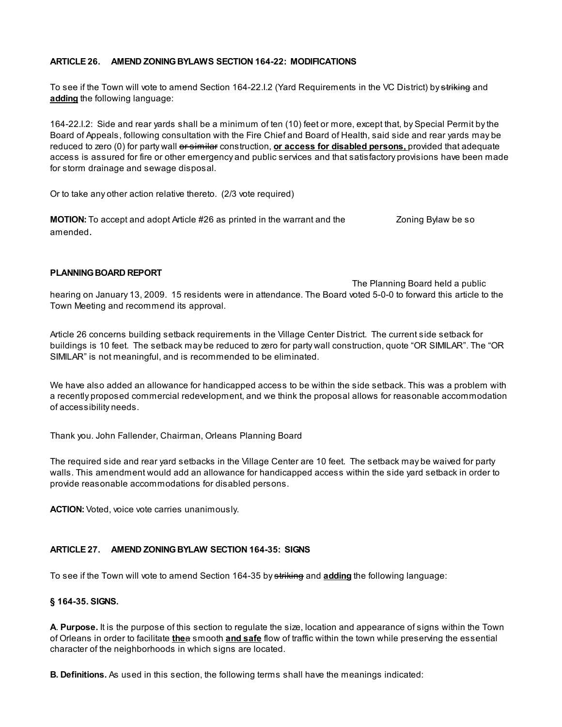## ARTICLE 26. AMEND ZONINGBYLAWS SECTION 164-22: MODIFICATIONS

To see if the Town will vote to amend Section 164-22.I.2 (Yard Requirements in the VC District) by striking and adding the following language:

164-22.I.2: Side and rear yards shall be a minimum of ten (10) feet or more, except that, by Special Permit by the Board of Appeals, following consultation with the Fire Chief and Board of Health, said side and rear yards may be reduced to zero (0) for party wall or similar construction, or access for disabled persons, provided that adequate access is assured for fire or other emergency and public services and that satisfactory provisions have been made for storm drainage and sewage disposal.

Or to take any other action relative thereto. (2/3 vote required)

**MOTION:** To accept and adopt Article #26 as printed in the warrant and the Zoning Bylaw be so amended.

## PLANNING BOARD REPORT

The Planning Board held a public hearing on January 13, 2009. 15 residents were in attendance. The Board voted 5-0-0 to forward this article to the Town Meeting and recommend its approval.

Article 26 concerns building setback requirements in the Village Center District. The current side setback for buildings is 10 feet. The setback may be reduced to zero for party wall construction, quote "OR SIMILAR". The "OR SIMILAR" is not meaningful, and is recommended to be eliminated.

We have also added an allowance for handicapped access to be within the side setback. This was a problem with a recently proposed commercial redevelopment, and we think the proposal allows for reasonable accommodation of accessibility needs.

Thank you. John Fallender, Chairman, Orleans Planning Board

The required side and rear yard setbacks in the Village Center are 10 feet. The setback may be waived for party walls. This amendment would add an allowance for handicapped access within the side yard setback in order to provide reasonable accommodations for disabled persons.

ACTION: Voted, voice vote carries unanimously.

#### ARTICLE 27. AMEND ZONINGBYLAW SECTION 164-35: SIGNS

To see if the Town will vote to amend Section 164-35 by striking and **adding** the following language:

#### § 164-35. SIGNS.

A. Purpose. It is the purpose of this section to regulate the size, location and appearance of signs within the Town of Orleans in order to facilitate thee smooth and safe flow of traffic within the town while preserving the essential character of the neighborhoods in which signs are located.

B. Definitions. As used in this section, the following terms shall have the meanings indicated: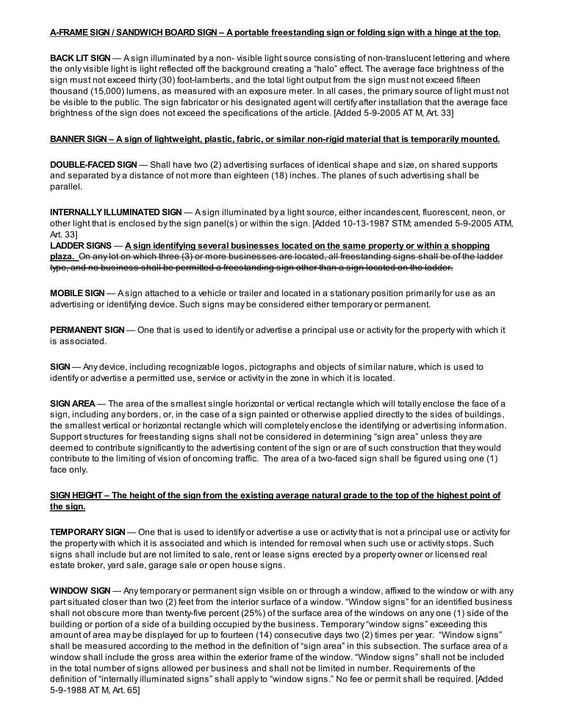### A-FRAME SIGN / SANDWICH BOARD SIGN – A portable freestanding sign or folding sign with a hinge at the top.

**BACK LIT SIGN** — A sign illuminated by a non- visible light source consisting of non-translucent lettering and where the only visible light is light reflected off the background creating a "halo" effect. The average face brightness of the sign must not exceed thirty (30) foot-lamberts, and the total light output from the sign must not exceed fifteen thousand (15,000) lumens, as measured with an exposure meter. In all cases, the primary source of light must not be visible to the public. The sign fabricator or his designated agent will certify after installation that the average face brightness of the sign does not exceed the specifications of the article. [Added 5-9-2005 AT M, Art. 33]

## BANNER SIGN – A sign of lightweight, plastic, fabric, or similar non-rigid material that is temporarily mounted.

**DOUBLE-FACED SIGN** — Shall have two (2) advertising surfaces of identical shape and size, on shared supports and separated by a distance of not more than eighteen (18) inches. The planes of such advertising shall be parallel.

INTERNALLY ILLUMINATED SIGN — A sign illuminated by a light source, either incandescent, fluorescent, neon, or other light that is enclosed by the sign panel(s) or within the sign. [Added 10-13-1987 STM; amended 5-9-2005 ATM, Art. 33]

LADDER SIGNS — A sign identifying several businesses located on the same property or within a shopping plaza. On any lot on which three (3) or more businesses are located, all freestanding signs shall be of the ladder type, and no business shall be permitted a freestanding sign other than a sign located on the ladder.

MOBILE SIGN — A sign attached to a vehicle or trailer and located in a stationary position primarily for use as an advertising or identifying device. Such signs may be considered either temporary or permanent.

PERMANENT SIGN — One that is used to identify or advertise a principal use or activity for the property with which it is associated.

SIGN — Any device, including recognizable logos, pictographs and objects of similar nature, which is used to identify or advertise a permitted use, service or activity in the zone in which it is located.

SIGN AREA — The area of the smallest single horizontal or vertical rectangle which will totally enclose the face of a sign, including any borders, or, in the case of a sign painted or otherwise applied directly to the sides of buildings, the smallest vertical or horizontal rectangle which will completely enclose the identifying or advertising information. Support structures for freestanding signs shall not be considered in determining "sign area" unless they are deemed to contribute significantly to the advertising content of the sign or are of such construction that they would contribute to the limiting of vision of oncoming traffic. The area of a two-faced sign shall be figured using one (1) face only.

## SIGN HEIGHT – The height of the sign from the existing average natural grade to the top of the highest point of the sign.

**TEMPORARY SIGN** — One that is used to identify or advertise a use or activity that is not a principal use or activity for the property with which it is associated and which is intended for removal when such use or activity stops. Such signs shall include but are not limited to sale, rent or lease signs erected by a property owner or licensed real estate broker, yard sale, garage sale or open house signs.

WINDOW SIGN — Any temporary or permanent sign visible on or through a window, affixed to the window or with any part situated closer than two (2) feet from the interior surface of a window. "Window signs" for an identified business shall not obscure more than twenty-five percent (25%) of the surface area of the windows on any one (1) side of the building or portion of a side of a building occupied by the business. Temporary "window signs" exceeding this amount of area may be displayed for up to fourteen (14) consecutive days two (2) times per year. "Window signs" shall be measured according to the method in the definition of "sign area" in this subsection. The surface area of a window shall include the gross area within the exterior frame of the window. "Window signs" shall not be included in the total number of signs allowed per business and shall not be limited in number. Requirements of the definition of "internally illuminated signs" shall apply to "window signs." No fee or permit shall be required. [Added 5-9-1988 AT M, Art. 65]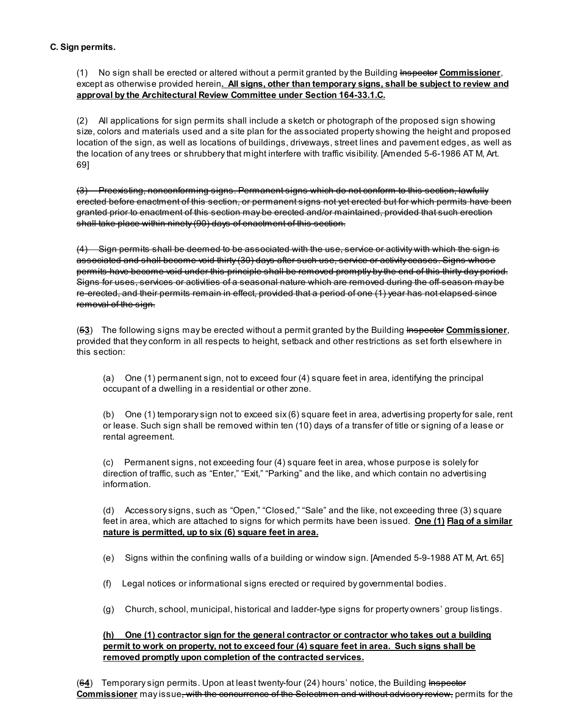## C. Sign permits.

(1) No sign shall be erected or altered without a permit granted by the Building Inspector Commissioner, except as otherwise provided herein. All signs, other than temporary signs, shall be subject to review and approval by the Architectural Review Committee under Section 164-33.1.C.

(2) All applications for sign permits shall include a sketch or photograph of the proposed sign showing size, colors and materials used and a site plan for the associated property showing the height and proposed location of the sign, as well as locations of buildings, driveways, street lines and pavement edges, as well as the location of any trees or shrubbery that might interfere with traffic visibility. [Amended 5-6-1986 AT M, Art. 69]

(3) Preexisting, nonconforming signs. Permanent signs which do not conform to this section, lawfully erected before enactment of this section, or permanent signs not yet erected but for which permits have been granted prior to enactment of this section may be erected and/or maintained, provided that such erection shall take place within ninety (90) days of enactment of this section.

(4) Sign permits shall be deemed to be associated with the use, service or activity with which the sign is associated and shall become void thirty (30) days after such use, service or activity ceases. Signs whose permits have become void under this principle shall be removed promptly by the end of this thirty-day period. Signs for uses, services or activities of a seasonal nature which are removed during the off-season may be re-erected, and their permits remain in effect, provided that a period of one (1) year has not elapsed since removal of the sign.

(53) The following signs may be erected without a permit granted by the Building Inspector Commissioner, provided that they conform in all respects to height, setback and other restrictions as set forth elsewhere in this section:

(a) One (1) permanent sign, not to exceed four (4) square feet in area, identifying the principal occupant of a dwelling in a residential or other zone.

(b) One (1) temporary sign not to exceed six (6) square feet in area, advertising property for sale, rent or lease. Such sign shall be removed within ten (10) days of a transfer of title or signing of a lease or rental agreement.

(c) Permanent signs, not exceeding four (4) square feet in area, whose purpose is solely for direction of traffic, such as "Enter," "Exit," "Parking" and the like, and which contain no advertising information.

(d) Accessory signs, such as "Open," "Closed," "Sale" and the like, not exceeding three (3) square feet in area, which are attached to signs for which permits have been issued. One (1) Flag of a similar nature is permitted, up to six (6) square feet in area.

(e) Signs within the confining walls of a building or window sign. [Amended 5-9-1988 AT M, Art. 65]

- (f) Legal notices or informational signs erected or required by governmental bodies.
- (g) Church, school, municipal, historical and ladder-type signs for property owners' group listings.

## (h) One (1) contractor sign for the general contractor or contractor who takes out a building permit to work on property, not to exceed four (4) square feet in area. Such signs shall be removed promptly upon completion of the contracted services.

(64) Temporary sign permits. Upon at least twenty-four (24) hours' notice, the Building Inspector Commissioner may issue, with the concurrence of the Selectmen and without advisory review, permits for the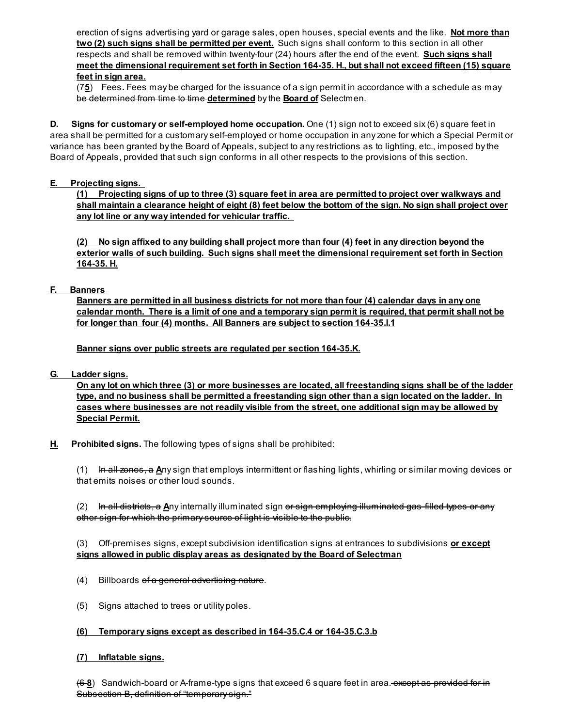erection of signs advertising yard or garage sales, open houses, special events and the like. Not more than two (2) such signs shall be permitted per event. Such signs shall conform to this section in all other respects and shall be removed within twenty-four (24) hours after the end of the event. Such signs shall meet the dimensional requirement set forth in Section 164-35. H., but shall not exceed fifteen (15) square feet in sign area.

 $(75)$  Fees. Fees may be charged for the issuance of a sign permit in accordance with a schedule as may be determined from time to time determined by the **Board of** Selectmen.

D. Signs for customary or self-employed home occupation. One (1) sign not to exceed six (6) square feet in area shall be permitted for a customary self-employed or home occupation in any zone for which a Special Permit or variance has been granted by the Board of Appeals, subject to any restrictions as to lighting, etc., imposed by the Board of Appeals, provided that such sign conforms in all other respects to the provisions of this section.

## E. Projecting signs.

(1) Projecting signs of up to three (3) square feet in area are permitted to project over walkways and shall maintain a clearance height of eight (8) feet below the bottom of the sign. No sign shall project over any lot line or any way intended for vehicular traffic.

(2) No sign affixed to any building shall project more than four (4) feet in any direction beyond the exterior walls of such building. Such signs shall meet the dimensional requirement set forth in Section 164-35. H.

## F. Banners

Banners are permitted in all business districts for not more than four (4) calendar days in any one calendar month. There is a limit of one and a temporary sign permit is required, that permit shall not be for longer than four (4) months. All Banners are subject to section 164-35.I.1

Banner signs over public streets are regulated per section 164-35.K.

G. Ladder signs.

On any lot on which three (3) or more businesses are located, all freestanding signs shall be of the ladder type, and no business shall be permitted a freestanding sign other than a sign located on the ladder. In cases where businesses are not readily visible from the street, one additional sign may be allowed by Special Permit.

H. Prohibited signs. The following types of signs shall be prohibited:

(1) In all zones, a Any sign that employs intermittent or flashing lights, whirling or similar moving devices or that emits noises or other loud sounds.

(2) ln all districts, a Any internally illuminated sign or sign employing illuminated gas-filled types or any other sign for which the primary source of light is visible to the public.

(3) Off-premises signs, except subdivision identification signs at entrances to subdivisions or except signs allowed in public display areas as designated by the Board of Selectman

- (4) Billboards of a general advertising nature.
- (5) Signs attached to trees or utility poles.
- (6) Temporary signs except as described in 164-35.C.4 or 164-35.C.3.b

## (7) Inflatable signs.

(6-8) Sandwich-board or A-frame-type signs that exceed 6 square feet in area. except as provided for in Subsection B, definition of "temporary sign."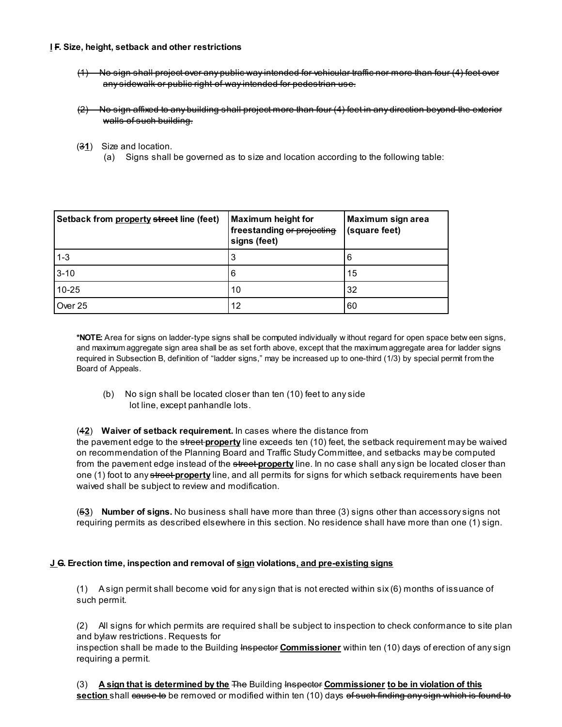#### I F. Size, height, setback and other restrictions

- (1) No sign shall project over any public way intended for vehicular traffic nor more than four (4) feet over any sidewalk or public right-of-way intended for pedestrian use.
- (2) No sign affixed to any building shall project more than four (4) feet in any direction beyond the exterior walls of such building.
- $(31)$  Size and location.
	- (a) Signs shall be governed as to size and location according to the following table:

| Setback from property street line (feet) | <b>Maximum height for</b><br>freestanding or projecting<br>signs (feet) | Maximum sign area<br>(square feet) |
|------------------------------------------|-------------------------------------------------------------------------|------------------------------------|
| $1 - 3$                                  |                                                                         | 6                                  |
| $3 - 10$                                 | 6                                                                       | 15                                 |
| $10 - 25$                                | 10                                                                      | 32                                 |
| Over 25                                  | 12                                                                      | 60                                 |

\*NOTE: Area for signs on ladder-type signs shall be computed individually w ithout regard for open space betw een signs, and maximum aggregate sign area shall be as set forth above, except that the maximum aggregate area for ladder signs required in Subsection B, definition of "ladder signs," may be increased up to one-third (1/3) by special permit from the Board of Appeals.

(b) No sign shall be located closer than ten (10) feet to any side lot line, except panhandle lots.

#### (42) Waiver of setback requirement. In cases where the distance from

the pavement edge to the *street property* line exceeds ten (10) feet, the setback requirement may be waived on recommendation of the Planning Board and Traffic Study Committee, and setbacks may be computed from the pavement edge instead of the **street property** line. In no case shall any sign be located closer than one (1) foot to any street property line, and all permits for signs for which setback requirements have been waived shall be subject to review and modification.

(53) Number of signs. No business shall have more than three (3) signs other than accessory signs not requiring permits as described elsewhere in this section. No residence shall have more than one (1) sign.

#### J.G. Erection time, inspection and removal of sign violations, and pre-existing signs

(1) A sign permit shall become void for any sign that is not erected within six (6) months of issuance of such permit.

(2) All signs for which permits are required shall be subject to inspection to check conformance to site plan and bylaw restrictions. Requests for

inspection shall be made to the Building Inspector Commissioner within ten (10) days of erection of any sign requiring a permit.

(3) A sign that is determined by the The Building Inspector Commissioner to be in violation of this section shall cause to be removed or modified within ten (10) days of such finding any sign which is found to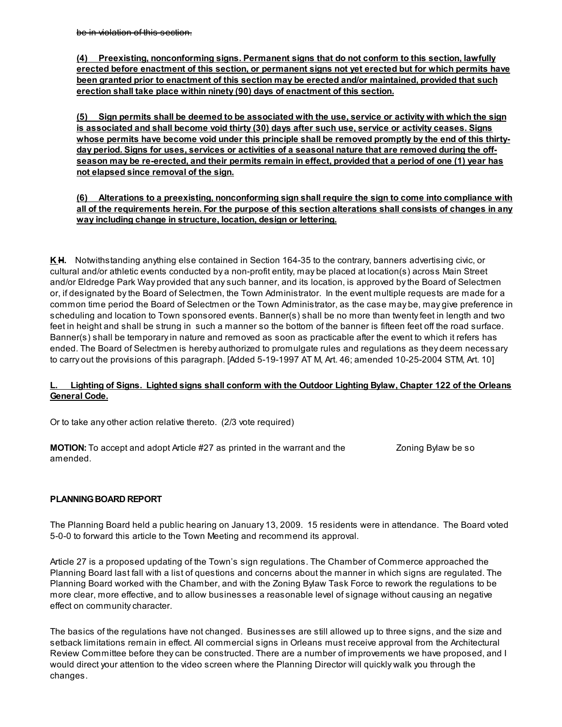(4) Preexisting, nonconforming signs. Permanent signs that do not conform to this section, lawfully erected before enactment of this section, or permanent signs not yet erected but for which permits have been granted prior to enactment of this section may be erected and/or maintained, provided that such erection shall take place within ninety (90) days of enactment of this section.

(5) Sign permits shall be deemed to be associated with the use, service or activity with which the sign is associated and shall become void thirty (30) days after such use, service or activity ceases. Signs whose permits have become void under this principle shall be removed promptly by the end of this thirtyday period. Signs for uses, services or activities of a seasonal nature that are removed during the offseason may be re-erected, and their permits remain in effect, provided that a period of one (1) year has not elapsed since removal of the sign.

(6) Alterations to a preexisting, nonconforming sign shall require the sign to come into compliance with all of the requirements herein. For the purpose of this section alterations shall consists of changes in any way including change in structure, location, design or lettering.

K.H. Notwithstanding anything else contained in Section 164-35 to the contrary, banners advertising civic, or cultural and/or athletic events conducted by a non-profit entity, may be placed at location(s) across Main Street and/or Eldredge Park Way provided that any such banner, and its location, is approved by the Board of Selectmen or, if designated by the Board of Selectmen, the Town Administrator. In the event multiple requests are made for a common time period the Board of Selectmen or the Town Administrator, as the case may be, may give preference in scheduling and location to Town sponsored events. Banner(s) shall be no more than twenty feet in length and two feet in height and shall be strung in such a manner so the bottom of the banner is fifteen feet off the road surface. Banner(s) shall be temporary in nature and removed as soon as practicable after the event to which it refers has ended. The Board of Selectmen is hereby authorized to promulgate rules and regulations as they deem necessary to carry out the provisions of this paragraph. [Added 5-19-1997 AT M, Art. 46; amended 10-25-2004 STM, Art. 10]

## L. Lighting of Signs. Lighted signs shall conform with the Outdoor Lighting Bylaw, Chapter 122 of the Orleans General Code.

Or to take any other action relative thereto. (2/3 vote required)

**MOTION:** To accept and adopt Article #27 as printed in the warrant and the Zoning Bylaw be so amended.

## PLANNING BOARD REPORT

The Planning Board held a public hearing on January 13, 2009. 15 residents were in attendance. The Board voted 5-0-0 to forward this article to the Town Meeting and recommend its approval.

Article 27 is a proposed updating of the Town's sign regulations. The Chamber of Commerce approached the Planning Board last fall with a list of questions and concerns about the manner in which signs are regulated. The Planning Board worked with the Chamber, and with the Zoning Bylaw Task Force to rework the regulations to be more clear, more effective, and to allow businesses a reasonable level of signage without causing an negative effect on community character.

The basics of the regulations have not changed. Businesses are still allowed up to three signs, and the size and setback limitations remain in effect. All commercial signs in Orleans must receive approval from the Architectural Review Committee before they can be constructed. There are a number of improvements we have proposed, and I would direct your attention to the video screen where the Planning Director will quickly walk you through the changes.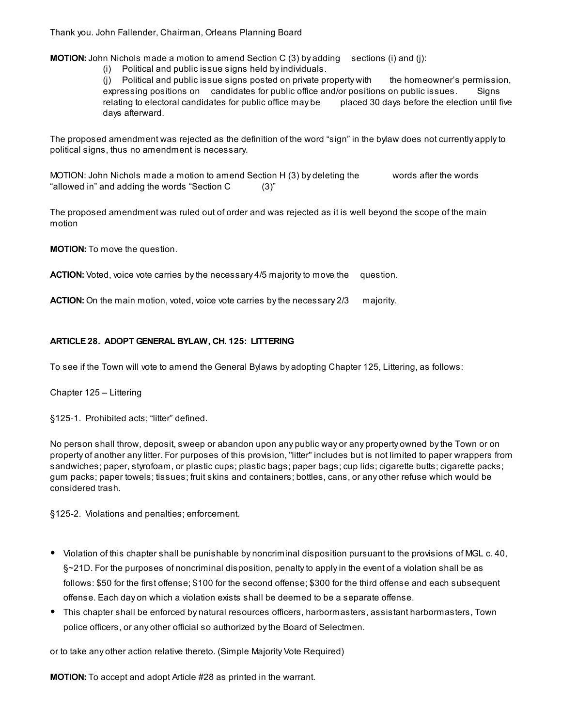Thank you. John Fallender, Chairman, Orleans Planning Board

**MOTION:** John Nichols made a motion to amend Section C  $(3)$  by adding sections  $(i)$  and  $(i)$ :

(i) Political and public issue signs held by individuals.

(j) Political and public issue signs posted on private property with the homeowner's permission, expressing positions on candidates for public office and/or positions on public issues. Signs relating to electoral candidates for public office may be placed 30 days before the election until five days afterward.

The proposed amendment was rejected as the definition of the word "sign" in the bylaw does not currently apply to political signs, thus no amendment is necessary.

MOTION: John Nichols made a motion to amend Section H (3) by deleting the words after the words "allowed in" and adding the words "Section C (3)"

The proposed amendment was ruled out of order and was rejected as it is well beyond the scope of the main motion

MOTION: To move the question.

ACTION: Voted, voice vote carries by the necessary 4/5 majority to move the question.

ACTION: On the main motion, voted, voice vote carries by the necessary 2/3 majority.

## ARTICLE 28. ADOPT GENERAL BYLAW, CH. 125: LITTERING

To see if the Town will vote to amend the General Bylaws by adopting Chapter 125, Littering, as follows:

Chapter 125 – Littering

§125-1. Prohibited acts; "litter" defined.

No person shall throw, deposit, sweep or abandon upon any public way or any property owned by the Town or on property of another any litter. For purposes of this provision, "litter" includes but is not limited to paper wrappers from sandwiches; paper, styrofoam, or plastic cups; plastic bags; paper bags; cup lids; cigarette butts; cigarette packs; gum packs; paper towels; tissues; fruit skins and containers; bottles, cans, or any other refuse which would be considered trash.

§125-2. Violations and penalties; enforcement.

- Violation of this chapter shall be punishable by noncriminal disposition pursuant to the provisions of MGL c. 40, §~21D. For the purposes of noncriminal disposition, penalty to apply in the event of a violation shall be as follows: \$50 for the first offense; \$100 for the second offense; \$300 for the third offense and each subsequent offense. Each day on which a violation exists shall be deemed to be a separate offense.
- This chapter shall be enforced by natural resources officers, harbormasters, assistant harbormasters, Town police officers, or any other official so authorized by the Board of Selectmen.

or to take any other action relative thereto. (Simple Majority Vote Required)

MOTION: To accept and adopt Article #28 as printed in the warrant.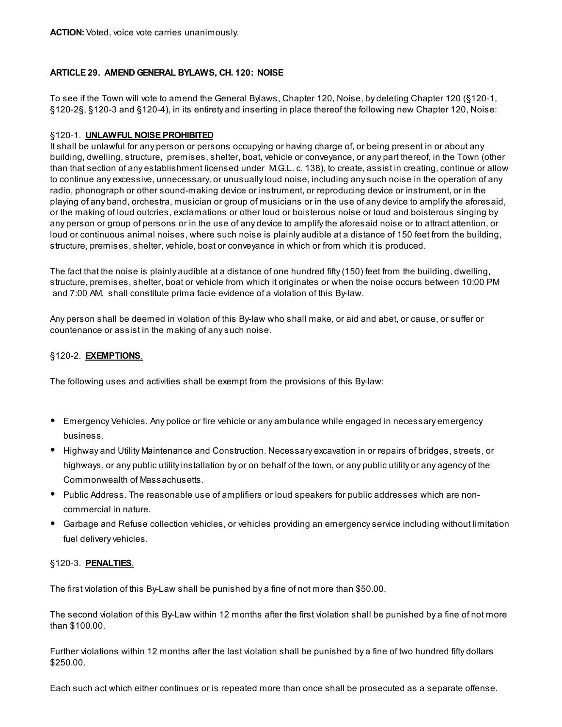## ARTICLE 29. AMEND GENERAL BYLAWS, CH. 120: NOISE

To see if the Town will vote to amend the General Bylaws, Chapter 120, Noise, by deleting Chapter 120 (§120-1, §120-2§, §120-3 and §120-4), in its entirety and inserting in place thereof the following new Chapter 120, Noise:

#### §120-1. UNLAWFUL NOISE PROHIBITED

It shall be unlawful for any person or persons occupying or having charge of, or being present in or about any building, dwelling, structure, premises, shelter, boat, vehicle or conveyance, or any part thereof, in the Town (other than that section of any establishment licensed under M.G.L. c. 138), to create, assist in creating, continue or allow to continue any excessive, unnecessary, or unusually loud noise, including any such noise in the operation of any radio, phonograph or other sound-making device or instrument, or reproducing device or instrument, or in the playing of any band, orchestra, musician or group of musicians or in the use of any device to amplify the aforesaid, or the making of loud outcries, exclamations or other loud or boisterous noise or loud and boisterous singing by any person or group of persons or in the use of any device to amplify the aforesaid noise or to attract attention, or loud or continuous animal noises, where such noise is plainly audible at a distance of 150 feet from the building, structure, premises, shelter, vehicle, boat or conveyance in which or from which it is produced.

The fact that the noise is plainly audible at a distance of one hundred fifty (150) feet from the building, dwelling, structure, premises, shelter, boat or vehicle from which it originates or when the noise occurs between 10:00 PM and 7:00 AM, shall constitute prima facie evidence of a violation of this By-law.

Any person shall be deemed in violation of this By-law who shall make, or aid and abet, or cause, or suffer or countenance or assist in the making of any such noise.

## §120-2. EXEMPTIONS.

The following uses and activities shall be exempt from the provisions of this By-law:

- Emergency Vehicles. Any police or fire vehicle or any ambulance while engaged in necessary emergency business.
- Highway and Utility Maintenance and Construction. Necessary excavation in or repairs of bridges, streets, or highways, or any public utility installation by or on behalf of the town, or any public utility or any agency of the Commonwealth of Massachusetts.
- Public Address. The reasonable use of amplifiers or loud speakers for public addresses which are noncommercial in nature.
- Garbage and Refuse collection vehicles, or vehicles providing an emergency service including without limitation fuel delivery vehicles.

#### §120-3. PENALTIES.

The first violation of this By-Law shall be punished by a fine of not more than \$50.00.

The second violation of this By-Law within 12 months after the first violation shall be punished by a fine of not more than \$100.00.

Further violations within 12 months after the last violation shall be punished by a fine of two hundred fifty dollars \$250.00.

Each such act which either continues or is repeated more than once shall be prosecuted as a separate offense.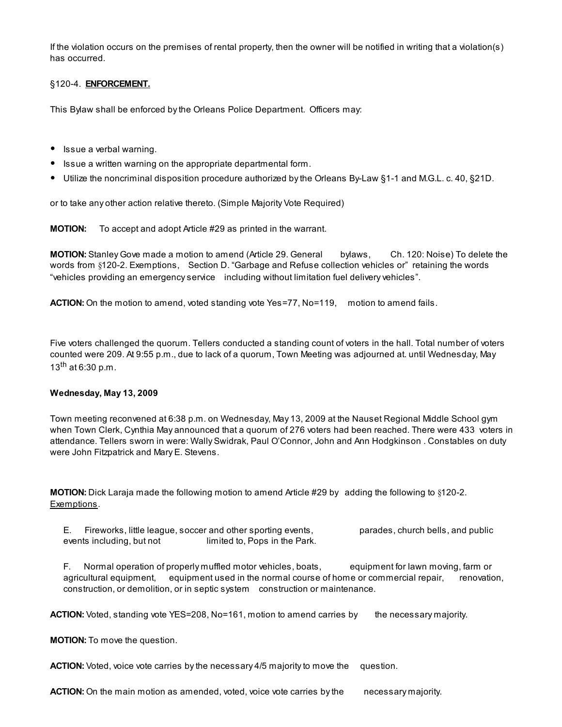If the violation occurs on the premises of rental property, then the owner will be notified in writing that a violation(s) has occurred.

## §120-4. ENFORCEMENT.

This Bylaw shall be enforced by the Orleans Police Department. Officers may:

- Issue a verbal warning.
- Issue a written warning on the appropriate departmental form.
- Utilize the noncriminal disposition procedure authorized by the Orleans By-Law §1-1 and M.G.L. c. 40, §21D.

or to take any other action relative thereto. (Simple Majority Vote Required)

MOTION: To accept and adopt Article #29 as printed in the warrant.

MOTION: Stanley Gove made a motion to amend (Article 29. General bylaws, Ch. 120: Noise) To delete the words from §120-2. Exemptions, Section D. "Garbage and Refuse collection vehicles or" retaining the words "vehicles providing an emergency service including without limitation fuel delivery vehicles".

ACTION: On the motion to amend, voted standing vote Yes=77, No=119, motion to amend fails.

Five voters challenged the quorum. Tellers conducted a standing count of voters in the hall. Total number of voters counted were 209. At 9:55 p.m., due to lack of a quorum, Town Meeting was adjourned at. until Wednesday, May 13<sup>th</sup> at 6:30 p.m.

#### Wednesday, May 13, 2009

Town meeting reconvened at 6:38 p.m. on Wednesday, May 13, 2009 at the Nauset Regional Middle School gym when Town Clerk, Cynthia May announced that a quorum of 276 voters had been reached. There were 433 voters in attendance. Tellers sworn in were: Wally Swidrak, Paul O'Connor, John and Ann Hodgkinson . Constables on duty were John Fitzpatrick and Mary E. Stevens.

MOTION: Dick Laraja made the following motion to amend Article #29 by adding the following to §120-2. Exemptions.

E. Fireworks, little league, soccer and other sporting events, parades, church bells, and public events including, but not limited to, Pops in the Park.

F. Normal operation of properly muffled motor vehicles, boats, equipment for lawn moving, farm or agricultural equipment, equipment used in the normal course of home or commercial repair, renovation, construction, or demolition, or in septic system construction or maintenance.

ACTION: Voted, standing vote YES=208, No=161, motion to amend carries by the necessary majority.

MOTION: To move the question.

ACTION: Voted, voice vote carries by the necessary 4/5 majority to move the question.

ACTION: On the main motion as amended, voted, voice vote carries by the necessary majority.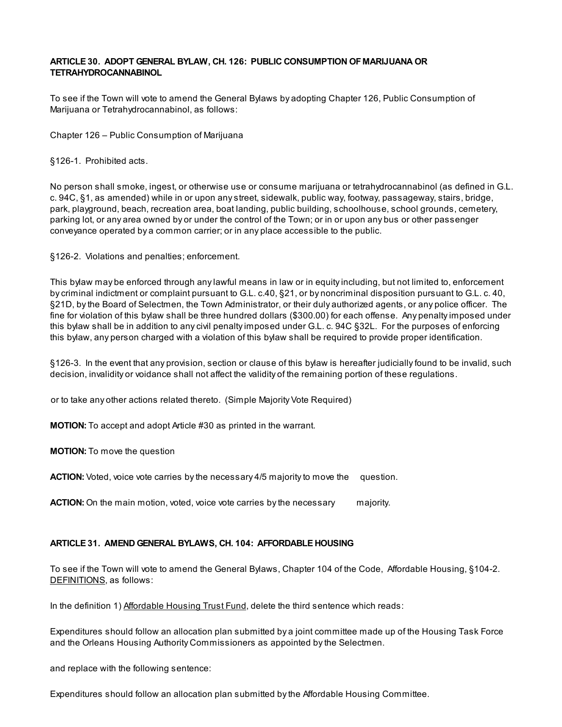## ARTICLE 30. ADOPT GENERAL BYLAW, CH. 126: PUBLIC CONSUMPTION OF MARIJUANA OR TETRAHYDROCANNABINOL

To see if the Town will vote to amend the General Bylaws by adopting Chapter 126, Public Consumption of Marijuana or Tetrahydrocannabinol, as follows:

Chapter 126 – Public Consumption of Marijuana

§126-1. Prohibited acts.

No person shall smoke, ingest, or otherwise use or consume marijuana or tetrahydrocannabinol (as defined in G.L. c. 94C, §1, as amended) while in or upon any street, sidewalk, public way, footway, passageway, stairs, bridge, park, playground, beach, recreation area, boat landing, public building, schoolhouse, school grounds, cemetery, parking lot, or any area owned by or under the control of the Town; or in or upon any bus or other passenger conveyance operated by a common carrier; or in any place accessible to the public.

§126-2. Violations and penalties; enforcement.

This bylaw may be enforced through any lawful means in law or in equity including, but not limited to, enforcement by criminal indictment or complaint pursuant to G.L. c.40, §21, or by noncriminal disposition pursuant to G.L. c. 40, §21D, by the Board of Selectmen, the Town Administrator, or their duly authorized agents, or any police officer. The fine for violation of this bylaw shall be three hundred dollars (\$300.00) for each offense. Any penalty imposed under this bylaw shall be in addition to any civil penalty imposed under G.L. c. 94C §32L. For the purposes of enforcing this bylaw, any person charged with a violation of this bylaw shall be required to provide proper identification.

§126-3. In the event that any provision, section or clause of this bylaw is hereafter judicially found to be invalid, such decision, invalidity or voidance shall not affect the validity of the remaining portion of these regulations.

or to take any other actions related thereto. (Simple Majority Vote Required)

MOTION: To accept and adopt Article #30 as printed in the warrant.

MOTION: To move the question

ACTION: Voted, voice vote carries by the necessary 4/5 majority to move the question.

**ACTION:** On the main motion, voted, voice vote carries by the necessary majority.

#### ARTICLE 31. AMEND GENERAL BYLAWS, CH. 104: AFFORDABLE HOUSING

To see if the Town will vote to amend the General Bylaws, Chapter 104 of the Code, Affordable Housing, §104-2. DEFINITIONS, as follows:

In the definition 1) Affordable Housing Trust Fund, delete the third sentence which reads:

Expenditures should follow an allocation plan submitted by a joint committee made up of the Housing Task Force and the Orleans Housing Authority Commissioners as appointed by the Selectmen.

and replace with the following sentence:

Expenditures should follow an allocation plan submitted by the Affordable Housing Committee.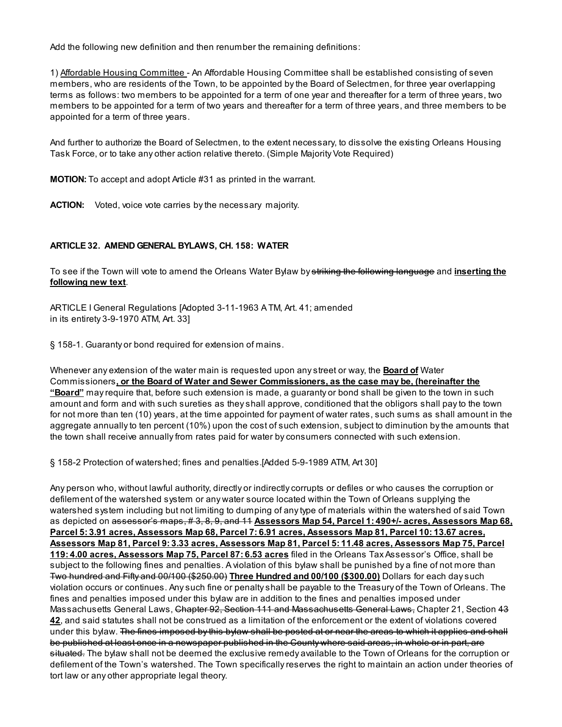Add the following new definition and then renumber the remaining definitions:

1) Affordable Housing Committee - An Affordable Housing Committee shall be established consisting of seven members, who are residents of the Town, to be appointed by the Board of Selectmen, for three year overlapping terms as follows: two members to be appointed for a term of one year and thereafter for a term of three years, two members to be appointed for a term of two years and thereafter for a term of three years, and three members to be appointed for a term of three years.

And further to authorize the Board of Selectmen, to the extent necessary, to dissolve the existing Orleans Housing Task Force, or to take any other action relative thereto. (Simple Majority Vote Required)

MOTION: To accept and adopt Article #31 as printed in the warrant.

ACTION: Voted, voice vote carries by the necessary majority.

## ARTICLE 32. AMEND GENERAL BYLAWS, CH. 158: WATER

To see if the Town will vote to amend the Orleans Water Bylaw by striking the following language and inserting the following new text.

ARTICLE I General Regulations [Adopted 3-11-1963 A TM, Art. 41; amended in its entirety 3-9-1970 ATM, Art. 33]

§ 158-1. Guaranty or bond required for extension of mains.

Whenever any extension of the water main is requested upon any street or way, the **Board of** Water Commissioners, or the Board of Water and Sewer Commissioners, as the case may be, (hereinafter the "Board" may require that, before such extension is made, a guaranty or bond shall be given to the town in such amount and form and with such sureties as they shall approve, conditioned that the obligors shall pay to the town for not more than ten (10) years, at the time appointed for payment of water rates, such sums as shall amount in the aggregate annually to ten percent (10%) upon the cost of such extension, subject to diminution by the amounts that the town shall receive annually from rates paid for water by consumers connected with such extension.

§ 158-2 Protection of watershed; fines and penalties.[Added 5-9-1989 ATM, Art 30]

Any person who, without lawful authority, directly or indirectly corrupts or defiles or who causes the corruption or defilement of the watershed system or any water source located within the Town of Orleans supplying the watershed system including but not limiting to dumping of any type of materials within the watershed of said Town as depicted on <del>assessor's maps, # 3, 8, 9, and 11</del> Assessors Map 54, Parcel 1: 490+/- acres, Assessors Map 68, Parcel 5: 3.91 acres, Assessors Map 68, Parcel 7: 6.91 acres, Assessors Map 81, Parcel 10: 13.67 acres, Assessors Map 81, Parcel 9: 3.33 acres, Assessors Map 81, Parcel 5: 11.48 acres, Assessors Map 75, Parcel 119: 4.00 acres, Assessors Map 75, Parcel 87: 6.53 acres filed in the Orleans Tax Assessor's Office, shall be subject to the following fines and penalties. A violation of this bylaw shall be punished by a fine of not more than Two hundred and Fifty and 00/100 (\$250.00) Three Hundred and 00/100 (\$300.00) Dollars for each day such violation occurs or continues. Any such fine or penalty shall be payable to the Treasury of the Town of Orleans. The fines and penalties imposed under this bylaw are in addition to the fines and penalties imposed under Massachusetts General Laws, Chapter 92, Section 111 and Massachusetts General Laws, Chapter 21, Section 43 42, and said statutes shall not be construed as a limitation of the enforcement or the extent of violations covered under this bylaw. The fines imposed by this bylaw shall be posted at or near the areas to which it applies and shall be published at least once in a newspaper published in the County where said areas, in whole or in part, are situated. The bylaw shall not be deemed the exclusive remedy available to the Town of Orleans for the corruption or defilement of the Town's watershed. The Town specifically reserves the right to maintain an action under theories of tort law or any other appropriate legal theory.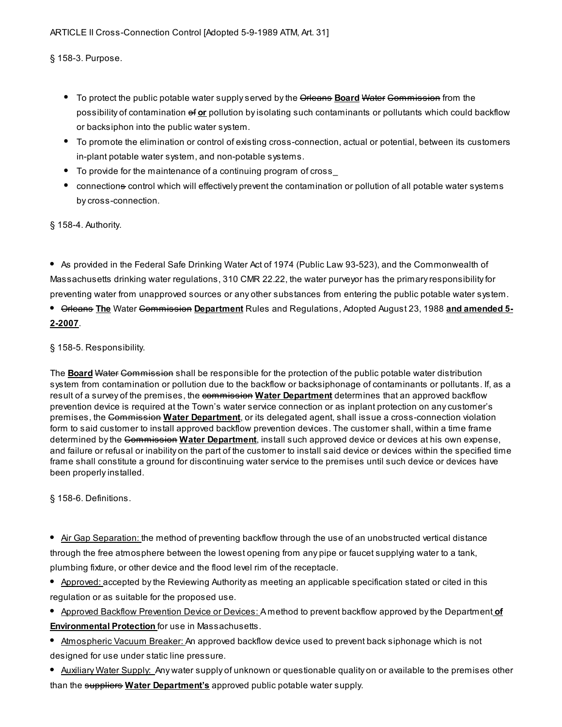§ 158-3. Purpose.

- To protect the public potable water supply served by the Orleans **Board Water Commission** from the possibility of contamination of or pollution by isolating such contaminants or pollutants which could backflow or backsiphon into the public water system.
- To promote the elimination or control of existing cross-connection, actual or potential, between its customers in-plant potable water system, and non-potable systems.
- To provide for the maintenance of a continuing program of cross\_
- connections control which will effectively prevent the contamination or pollution of all potable water systems by cross-connection.

§ 158-4. Authority.

As provided in the Federal Safe Drinking Water Act of 1974 (Public Law 93-523), and the Commonwealth of Massachusetts drinking water regulations, 310 CMR 22.22, the water purveyor has the primary responsibility for preventing water from unapproved sources or any other substances from entering the public potable water system.

# **• Grieans The Water Commission Department Rules and Regulations, Adopted August 23, 1988 and amended 5-**2-2007.

## § 158-5. Responsibility.

The **Board Water Commission** shall be responsible for the protection of the public potable water distribution system from contamination or pollution due to the backflow or backsiphonage of contaminants or pollutants. If, as a result of a survey of the premises, the commission Water Department determines that an approved backflow prevention device is required at the Town's water service connection or as inplant protection on any customer's premises, the Commission Water Department, or its delegated agent, shall issue a cross-connection violation form to said customer to install approved backflow prevention devices. The customer shall, within a time frame determined by the Commission Water Department, install such approved device or devices at his own expense, and failure or refusal or inability on the part of the customer to install said device or devices within the specified time frame shall constitute a ground for discontinuing water service to the premises until such device or devices have been properly installed.

§ 158-6. Definitions.

Air Gap Separation: the method of preventing backflow through the use of an unobstructed vertical distance through the free atmosphere between the lowest opening from any pipe or faucet supplying water to a tank, plumbing fixture, or other device and the flood level rim of the receptacle.

- Approved: accepted by the Reviewing Authority as meeting an applicable specification stated or cited in this regulation or as suitable for the proposed use.
- Approved Backflow Prevention Device or Devices: A method to prevent backflow approved by the Department of **Environmental Protection** for use in Massachusetts.
- **Atmospheric Vacuum Breaker:** An approved backflow device used to prevent back siphonage which is not designed for use under static line pressure.
- Auxiliary Water Supply: Any water supply of unknown or questionable quality on or available to the premises other than the suppliers Water Department's approved public potable water supply.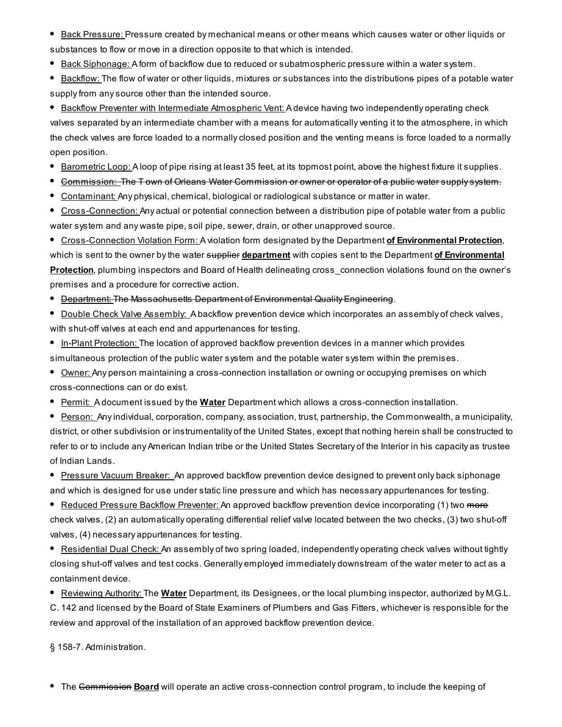- Back Pressure: Pressure created by mechanical means or other means which causes water or other liquids or substances to flow or move in a direction opposite to that which is intended.
- **Back Siphonage:** A form of backflow due to reduced or subatmospheric pressure within a water system.
- Backflow: The flow of water or other liquids, mixtures or substances into the distributions pipes of a potable water supply from any source other than the intended source.

**Backflow Preventer with Intermediate Atmospheric Vent: A device having two independently operating check** valves separated by an intermediate chamber with a means for automatically venting it to the atmosphere, in which the check valves are force loaded to a normally closed position and the venting means is force loaded to a normally open position.

- Barometric Loop: A loop of pipe rising at least 35 feet, at its topmost point, above the highest fixture it supplies.
- Commission: The T own of Orleans Water Commission or owner or operator of a public water supply system.
- Contaminant: Any physical, chemical, biological or radiological substance or matter in water.

Cross-Connection: Any actual or potential connection between a distribution pipe of potable water from a public water system and any waste pipe, soil pipe, sewer, drain, or other unapproved source.

**Cross-Connection Violation Form:** A violation form designated by the Department of Environmental Protection, which is sent to the owner by the water supplier department with copies sent to the Department of Environmental Protection, plumbing inspectors and Board of Health delineating cross\_connection violations found on the owner's premises and a procedure for corrective action.

Department: The Massachusetts Department of Environmental Quality Engineering.

- **Double Check Valve Assembly:** A backflow prevention device which incorporates an assembly of check valves, with shut-off valves at each end and appurtenances for testing.
- **In-Plant Protection:** The location of approved backflow prevention devices in a manner which provides simultaneous protection of the public water system and the potable water system within the premises.
- Owner: Any person maintaining a cross-connection installation or owning or occupying premises on which cross-connections can or do exist.
- **Permit:** A document issued by the **Water** Department which allows a cross-connection installation.

Person: Any individual, corporation, company, association, trust, partnership, the Commonwealth, a municipality, district, or other subdivision or instrumentality of the United States, except that nothing herein shall be constructed to refer to or to include any American Indian tribe or the United States Secretary of the Interior in his capacity as trustee of Indian Lands.

Pressure Vacuum Breaker: An approved backflow prevention device designed to prevent only back siphonage and which is designed for use under static line pressure and which has necessary appurtenances for testing.

**Reduced Pressure Backflow Preventer:** An approved backflow prevention device incorporating (1) two more check valves, (2) an automatically operating differential relief valve located between the two checks, (3) two shut-off valves, (4) necessary appurtenances for testing.

**Residential Dual Check: An assembly of two spring loaded, independently operating check valves without tightly** closing shut-off valves and test cocks. Generally employed immediately downstream of the water meter to act as a containment device.

• Reviewing Authority: The Water Department, its Designees, or the local plumbing inspector, authorized by M.G.L. C. 142 and licensed by the Board of State Examiners of Plumbers and Gas Fitters, whichever is responsible for the

review and approval of the installation of an approved backflow prevention device.

§ 158-7. Administration.

The Commission Board will operate an active cross-connection control program, to include the keeping of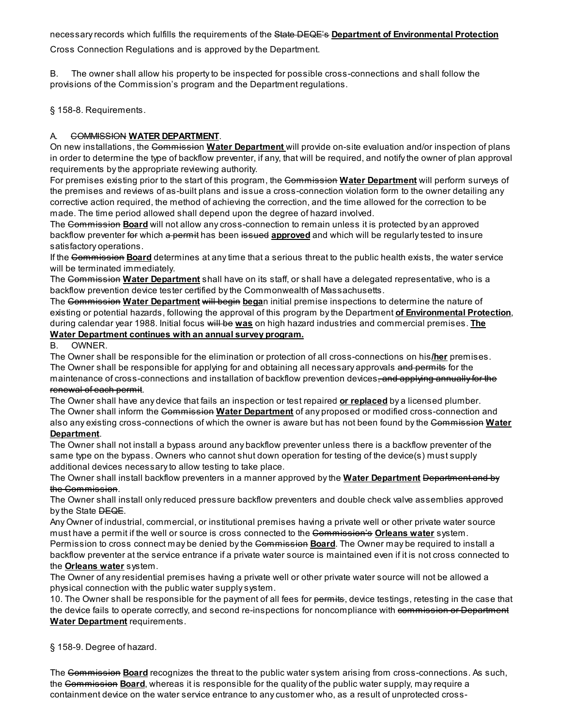necessary records which fulfills the requirements of the State DEQE's Department of Environmental Protection

Cross Connection Regulations and is approved by the Department.

B. The owner shall allow his property to be inspected for possible cross-connections and shall follow the provisions of the Commission's program and the Department regulations.

§ 158-8. Requirements.

## A. GOMMISSION WATER DEPARTMENT.

On new installations, the Commission Water Department will provide on-site evaluation and/or inspection of plans in order to determine the type of backflow preventer, if any, that will be required, and notify the owner of plan approval requirements by the appropriate reviewing authority.

For premises existing prior to the start of this program, the Commission Water Department will perform surveys of the premises and reviews of as-built plans and issue a cross-connection violation form to the owner detailing any corrective action required, the method of achieving the correction, and the time allowed for the correction to be made. The time period allowed shall depend upon the degree of hazard involved.

The Commission Board will not allow any cross-connection to remain unless it is protected by an approved backflow preventer for which a permit has been issued approved and which will be regularly tested to insure satisfactory operations.

If the Commission Board determines at any time that a serious threat to the public health exists, the water service will be terminated immediately.

The Commission Water Department shall have on its staff, or shall have a delegated representative, who is a backflow prevention device tester certified by the Commonwealth of Massachusetts.

The Commission Water Department will begin began initial premise inspections to determine the nature of existing or potential hazards, following the approval of this program by the Department of Environmental Protection, during calendar year 1988. Initial focus will be was on high hazard industries and commercial premises. The Water Department continues with an annual survey program.

#### B. OWNER.

The Owner shall be responsible for the elimination or protection of all cross-connections on his/her premises. The Owner shall be responsible for applying for and obtaining all necessary approvals and permits for the maintenance of cross-connections and installation of backflow prevention devices, and applying annually for the renewal of each permit.

The Owner shall have any device that fails an inspection or test repaired or replaced by a licensed plumber. The Owner shall inform the Commission Water Department of any proposed or modified cross-connection and also any existing cross-connections of which the owner is aware but has not been found by the Commission Water Department.

The Owner shall not install a bypass around any backflow preventer unless there is a backflow preventer of the same type on the bypass. Owners who cannot shut down operation for testing of the device(s) must supply additional devices necessary to allow testing to take place.

The Owner shall install backflow preventers in a manner approved by the **Water Department Bepartment and by** the Commission.

The Owner shall install only reduced pressure backflow preventers and double check valve assemblies approved by the State **DEQE**.

Any Owner of industrial, commercial, or institutional premises having a private well or other private water source must have a permit if the well or source is cross connected to the Commission's Orleans water system. Permission to cross connect may be denied by the Gommission Board. The Owner may be required to install a backflow preventer at the service entrance if a private water source is maintained even if it is not cross connected to

#### the **Orleans water** system.

The Owner of any residential premises having a private well or other private water source will not be allowed a physical connection with the public water supply system.

10. The Owner shall be responsible for the payment of all fees for permits, device testings, retesting in the case that the device fails to operate correctly, and second re-inspections for noncompliance with commission or Department Water Department requirements.

§ 158-9. Degree of hazard.

The Commission Board recognizes the threat to the public water system arising from cross-connections. As such, the Commission **Board**, whereas it is responsible for the quality of the public water supply, may require a containment device on the water service entrance to any customer who, as a result of unprotected cross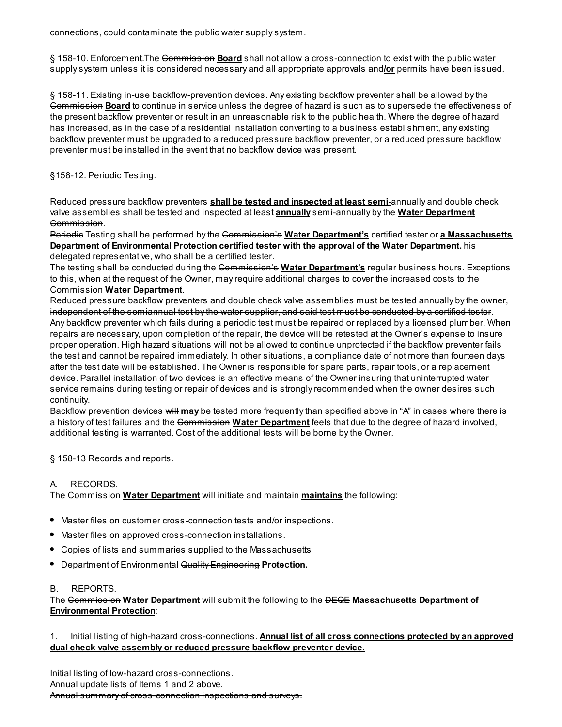connections, could contaminate the public water supply system.

§ 158-10. Enforcement. The Commission Board shall not allow a cross-connection to exist with the public water supply system unless it is considered necessary and all appropriate approvals and/or permits have been issued.

§ 158-11. Existing in-use backflow-prevention devices. Any existing backflow preventer shall be allowed by the Gommission **Board** to continue in service unless the degree of hazard is such as to supersede the effectiveness of the present backflow preventer or result in an unreasonable risk to the public health. Where the degree of hazard has increased, as in the case of a residential installation converting to a business establishment, any existing backflow preventer must be upgraded to a reduced pressure backflow preventer, or a reduced pressure backflow preventer must be installed in the event that no backflow device was present.

§158-12. Periodie Testing.

Reduced pressure backflow preventers shall be tested and inspected at least semi-annually and double check valve assemblies shall be tested and inspected at least **annually semi-annually** by the Water Department Commission.

Periodic Testing shall be performed by the Commission's Water Department's certified tester or a Massachusetts Department of Environmental Protection certified tester with the approval of the Water Department. His delegated representative, who shall be a certified tester.

The testing shall be conducted during the Commission's Water Department's regular business hours. Exceptions to this, when at the request of the Owner, may require additional charges to cover the increased costs to the Commission Water Department.

Reduced pressure backflow preventers and double check valve assemblies must be tested annually by the owner, independent of the semiannual test by the water supplier, and said test must be conducted by a certified tester.

Any backflow preventer which fails during a periodic test must be repaired or replaced by a licensed plumber. When repairs are necessary, upon completion of the repair, the device will be retested at the Owner's expense to insure proper operation. High hazard situations will not be allowed to continue unprotected if the backflow preventer fails the test and cannot be repaired immediately. In other situations, a compliance date of not more than fourteen days after the test date will be established. The Owner is responsible for spare parts, repair tools, or a replacement device. Parallel installation of two devices is an effective means of the Owner insuring that uninterrupted water service remains during testing or repair of devices and is strongly recommended when the owner desires such continuity.

Backflow prevention devices will may be tested more frequently than specified above in "A" in cases where there is a history of test failures and the <del>Commission</del> Water Department feels that due to the degree of hazard involved, additional testing is warranted. Cost of the additional tests will be borne by the Owner.

§ 158-13 Records and reports.

## A. RECORDS.

The Commission Water Department will initiate and maintain maintains the following:

- Master files on customer cross-connection tests and/or inspections.
- Master files on approved cross-connection installations.
- $\bullet$ Copies of lists and summaries supplied to the Massachusetts
- Department of Environmental Quality Engineering Protection.

#### B. REPORTS.

The Commission Water Department will submit the following to the DEQE Massachusetts Department of Environmental Protection:

1. Initial listing of high-hazard cross-connections. Annual list of all cross connections protected by an approved dual check valve assembly or reduced pressure backflow preventer device.

Initial listing of low-hazard cross-connections.

Annual update lists of Items 1 and 2 above.

Annual summary of cross-connection inspections and surveys.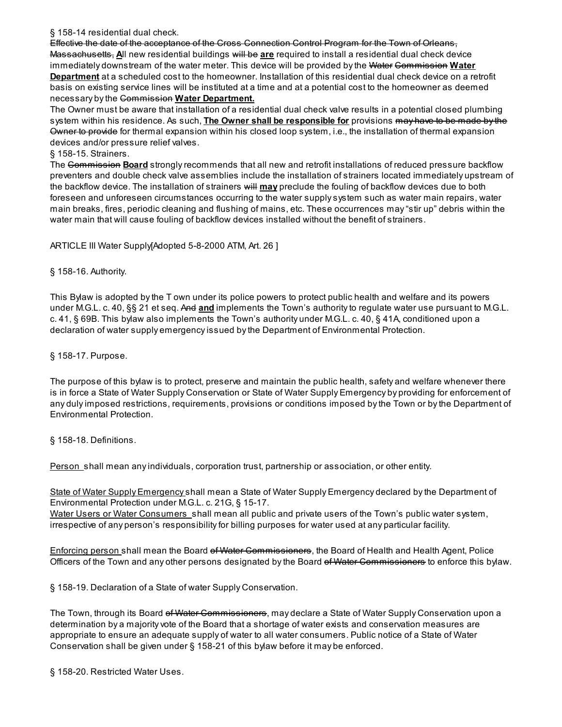§ 158-14 residential dual check.

Effective the date of the acceptance of the Cross Connection Control Program for the Town of Orleans, Massachusetts, All new residential buildings will be are required to install a residential dual check device immediately downstream of the water meter. This device will be provided by the Water Gommission Water **Department** at a scheduled cost to the homeowner. Installation of this residential dual check device on a retrofit basis on existing service lines will be instituted at a time and at a potential cost to the homeowner as deemed necessary by the Commission Water Department.

The Owner must be aware that installation of a residential dual check valve results in a potential closed plumbing system within his residence. As such, **The Owner shall be responsible for** provisions may have to be made by the Owner to provide for thermal expansion within his closed loop system, i.e., the installation of thermal expansion devices and/or pressure relief valves.

§ 158-15. Strainers.

The Commission Board strongly recommends that all new and retrofit installations of reduced pressure backflow preventers and double check valve assemblies include the installation of strainers located immediately upstream of the backflow device. The installation of strainers will may preclude the fouling of backflow devices due to both foreseen and unforeseen circumstances occurring to the water supply system such as water main repairs, water main breaks, fires, periodic cleaning and flushing of mains, etc. These occurrences may "stir up" debris within the water main that will cause fouling of backflow devices installed without the benefit of strainers.

ARTICLE III Water Supply[Adopted 5-8-2000 ATM, Art. 26 ]

§ 158-16. Authority.

This Bylaw is adopted by the T own under its police powers to protect public health and welfare and its powers under M.G.L. c. 40, §§ 21 et seq. And and implements the Town's authority to regulate water use pursuant to M.G.L. c. 41, § 69B. This bylaw also implements the Town's authority under M.G.L. c. 40, § 41A, conditioned upon a declaration of water supply emergency issued by the Department of Environmental Protection.

§ 158-17. Purpose.

The purpose of this bylaw is to protect, preserve and maintain the public health, safety and welfare whenever there is in force a State of Water Supply Conservation or State of Water Supply Emergency by providing for enforcement of any duly imposed restrictions, requirements, provisions or conditions imposed by the Town or by the Department of Environmental Protection.

§ 158-18. Definitions.

Person shall mean any individuals, corporation trust, partnership or association, or other entity.

State of Water Supply Emergency shall mean a State of Water Supply Emergency declared by the Department of Environmental Protection under M.G.L. c. 21G, § 15-17.

Water Users or Water Consumers shall mean all public and private users of the Town's public water system, irrespective of any person's responsibility for billing purposes for water used at any particular facility.

Enforcing person shall mean the Board of Water Commissioners, the Board of Health and Health Agent, Police Officers of the Town and any other persons designated by the Board of Water Commissioners to enforce this bylaw.

§ 158-19. Declaration of a State of water Supply Conservation.

The Town, through its Board ef Water Commissioners, may declare a State of Water Supply Conservation upon a determination by a majority vote of the Board that a shortage of water exists and conservation measures are appropriate to ensure an adequate supply of water to all water consumers. Public notice of a State of Water Conservation shall be given under § 158-21 of this bylaw before it may be enforced.

§ 158-20. Restricted Water Uses.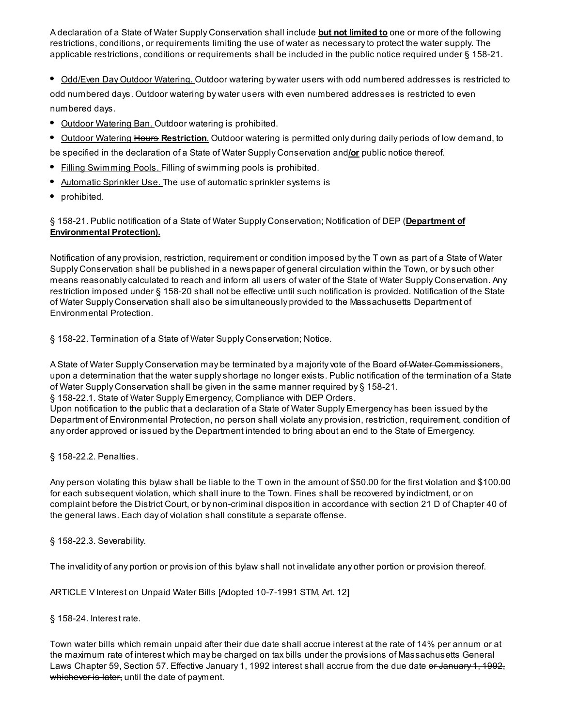A declaration of a State of Water Supply Conservation shall include **but not limited to** one or more of the following restrictions, conditions, or requirements limiting the use of water as necessary to protect the water supply. The applicable restrictions, conditions or requirements shall be included in the public notice required under § 158-21.

• Odd/Even Day Outdoor Watering. Outdoor watering by water users with odd numbered addresses is restricted to odd numbered days. Outdoor watering by water users with even numbered addresses is restricted to even numbered days.

- Outdoor Watering Ban. Outdoor watering is prohibited.
- Outdoor Watering Hours Restriction. Outdoor watering is permitted only during daily periods of low demand, to

be specified in the declaration of a State of Water Supply Conservation and/or public notice thereof.

- Filling Swimming Pools. Filling of swimming pools is prohibited.
- Automatic Sprinkler Use. The use of automatic sprinkler systems is
- prohibited.

§ 158-21. Public notification of a State of Water Supply Conservation; Notification of DEP (Department of Environmental Protection).

Notification of any provision, restriction, requirement or condition imposed by the T own as part of a State of Water Supply Conservation shall be published in a newspaper of general circulation within the Town, or by such other means reasonably calculated to reach and inform all users of water of the State of Water Supply Conservation. Any restriction imposed under § 158-20 shall not be effective until such notification is provided. Notification of the State of Water Supply Conservation shall also be simultaneously provided to the Massachusetts Department of Environmental Protection.

§ 158-22. Termination of a State of Water Supply Conservation; Notice.

A State of Water Supply Conservation may be terminated by a majority vote of the Board of Water Commissioners, upon a determination that the water supply shortage no longer exists. Public notification of the termination of a State of Water Supply Conservation shall be given in the same manner required by § 158-21.

§ 158-22.1. State of Water Supply Emergency, Compliance with DEP Orders.

Upon notification to the public that a declaration of a State of Water Supply Emergency has been issued by the Department of Environmental Protection, no person shall violate any provision, restriction, requirement, condition of any order approved or issued by the Department intended to bring about an end to the State of Emergency.

§ 158-22.2. Penalties.

Any person violating this bylaw shall be liable to the T own in the amount of \$50.00 for the first violation and \$100.00 for each subsequent violation, which shall inure to the Town. Fines shall be recovered by indictment, or on complaint before the District Court, or by non-criminal disposition in accordance with section 21 D of Chapter 40 of the general laws. Each day of violation shall constitute a separate offense.

§ 158-22.3. Severability.

The invalidity of any portion or provision of this bylaw shall not invalidate any other portion or provision thereof.

ARTICLE V Interest on Unpaid Water Bills [Adopted 10-7-1991 STM, Art. 12]

§ 158-24. Interest rate.

Town water bills which remain unpaid after their due date shall accrue interest at the rate of 14% per annum or at the maximum rate of interest which may be charged on tax bills under the provisions of Massachusetts General Laws Chapter 59, Section 57. Effective January 1, 1992 interest shall accrue from the due date or January 1, 1992, whichever is later, until the date of payment.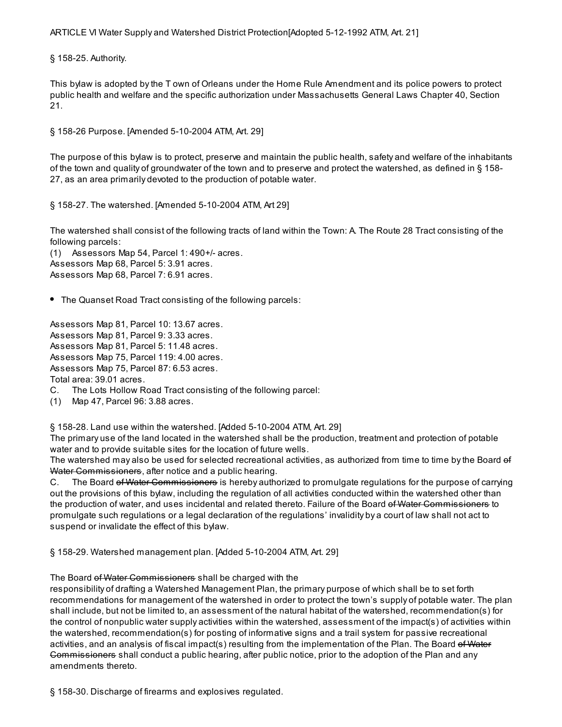ARTICLE VI Water Supply and Watershed District Protection[Adopted 5-12-1992 ATM, Art. 21]

§ 158-25. Authority.

This bylaw is adopted by the T own of Orleans under the Home Rule Amendment and its police powers to protect public health and welfare and the specific authorization under Massachusetts General Laws Chapter 40, Section 21.

§ 158-26 Purpose. [Amended 5-10-2004 ATM, Art. 29]

The purpose of this bylaw is to protect, preserve and maintain the public health, safety and welfare of the inhabitants of the town and quality of groundwater of the town and to preserve and protect the watershed, as defined in § 158- 27, as an area primarily devoted to the production of potable water.

§ 158-27. The watershed. [Amended 5-10-2004 ATM, Art 29]

The watershed shall consist of the following tracts of land within the Town: A. The Route 28 Tract consisting of the following parcels:

(1) Assessors Map 54, Parcel 1: 490+/- acres. Assessors Map 68, Parcel 5: 3.91 acres. Assessors Map 68, Parcel 7: 6.91 acres.

• The Quanset Road Tract consisting of the following parcels:

Assessors Map 81, Parcel 10: 13.67 acres. Assessors Map 81, Parcel 9: 3.33 acres. Assessors Map 81, Parcel 5: 11.48 acres. Assessors Map 75, Parcel 119: 4.00 acres. Assessors Map 75, Parcel 87: 6.53 acres. Total area: 39.01 acres.

C. The Lots Hollow Road Tract consisting of the following parcel:

(1) Map 47, Parcel 96: 3.88 acres.

§ 158-28. Land use within the watershed. [Added 5-10-2004 ATM, Art. 29]

The primary use of the land located in the watershed shall be the production, treatment and protection of potable water and to provide suitable sites for the location of future wells.

The watershed may also be used for selected recreational activities, as authorized from time to time by the Board of Water Commissioners, after notice and a public hearing.

C. The Board of Water Commissioners is hereby authorized to promulgate regulations for the purpose of carrying out the provisions of this bylaw, including the regulation of all activities conducted within the watershed other than the production of water, and uses incidental and related thereto. Failure of the Board of Water Commissioners to promulgate such regulations or a legal declaration of the regulations' invalidity by a court of law shall not act to suspend or invalidate the effect of this bylaw.

§ 158-29. Watershed management plan. [Added 5-10-2004 ATM, Art. 29]

The Board of Water Commissioners shall be charged with the

responsibility of drafting a Watershed Management Plan, the primary purpose of which shall be to set forth recommendations for management of the watershed in order to protect the town's supply of potable water. The plan shall include, but not be limited to, an assessment of the natural habitat of the watershed, recommendation(s) for the control of nonpublic water supply activities within the watershed, assessment of the impact(s) of activities within the watershed, recommendation(s) for posting of informative signs and a trail system for passive recreational activities, and an analysis of fiscal impact(s) resulting from the implementation of the Plan. The Board of Water Gommissioners shall conduct a public hearing, after public notice, prior to the adoption of the Plan and any amendments thereto.

§ 158-30. Discharge of firearms and explosives regulated.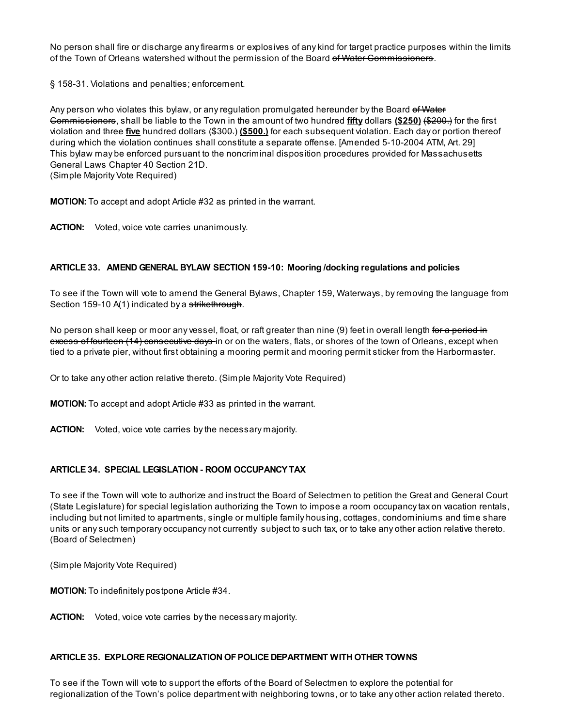No person shall fire or discharge any firearms or explosives of any kind for target practice purposes within the limits of the Town of Orleans watershed without the permission of the Board of Water Commissioners.

§ 158-31. Violations and penalties; enforcement.

Any person who violates this bylaw, or any regulation promulgated hereunder by the Board of Water Gommissioners, shall be liable to the Town in the amount of two hundred fifty dollars (\$250) (\$200.) for the first violation and three five hundred dollars (\$300.) (\$500.) for each subsequent violation. Each day or portion thereof during which the violation continues shall constitute a separate offense. [Amended 5-10-2004 ATM, Art. 29] This bylaw may be enforced pursuant to the noncriminal disposition procedures provided for Massachusetts General Laws Chapter 40 Section 21D. (Simple Majority Vote Required)

MOTION: To accept and adopt Article #32 as printed in the warrant.

ACTION: Voted, voice vote carries unanimously.

## ARTICLE 33. AMEND GENERAL BYLAW SECTION 159-10: Mooring /docking regulations and policies

To see if the Town will vote to amend the General Bylaws, Chapter 159, Waterways, by removing the language from Section 159-10 A(1) indicated by a strikethrough.

No person shall keep or moor any vessel, float, or raft greater than nine (9) feet in overall length for a period in excess of fourteen (14) consecutive days in or on the waters, flats, or shores of the town of Orleans, except when tied to a private pier, without first obtaining a mooring permit and mooring permit sticker from the Harbormaster.

Or to take any other action relative thereto. (Simple Majority Vote Required)

MOTION: To accept and adopt Article #33 as printed in the warrant.

**ACTION:** Voted, voice vote carries by the necessary majority.

## ARTICLE 34. SPECIAL LEGISLATION - ROOM OCCUPANCY TAX

To see if the Town will vote to authorize and instruct the Board of Selectmen to petition the Great and General Court (State Legislature) for special legislation authorizing the Town to impose a room occupancy tax on vacation rentals, including but not limited to apartments, single or multiple family housing, cottages, condominiums and time share units or any such temporary occupancy not currently subject to such tax, or to take any other action relative thereto. (Board of Selectmen)

(Simple Majority Vote Required)

MOTION: To indefinitely postpone Article #34.

ACTION: Voted, voice vote carries by the necessary majority.

#### ARTICLE 35. EXPLORE REGIONALIZATION OFPOLICE DEPARTMENT WITH OTHER TOWNS

To see if the Town will vote to support the efforts of the Board of Selectmen to explore the potential for regionalization of the Town's police department with neighboring towns, or to take any other action related thereto.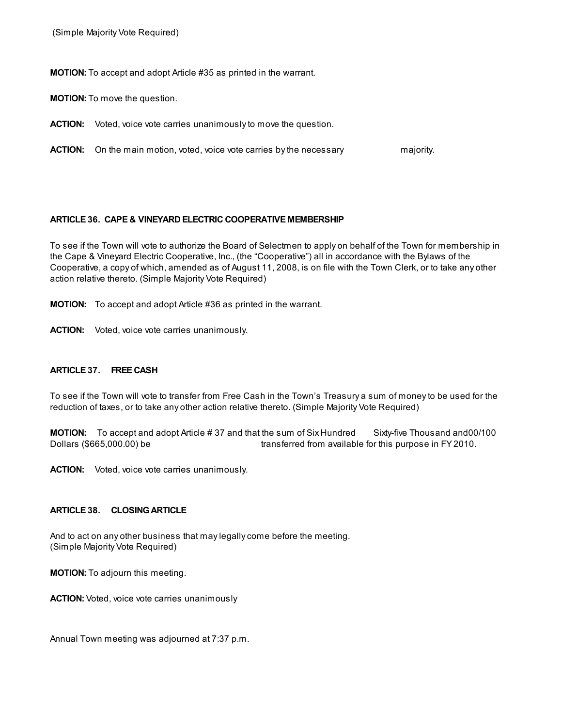(Simple Majority Vote Required)

MOTION: To accept and adopt Article #35 as printed in the warrant.

MOTION: To move the question.

ACTION: Voted, voice vote carries unanimously to move the question.

**ACTION:** On the main motion, voted, voice vote carries by the necessary majority.

#### ARTICLE 36. CAPE & VINEYARD ELECTRIC COOPERATIVE MEMBERSHIP

To see if the Town will vote to authorize the Board of Selectmen to apply on behalf of the Town for membership in the Cape & Vineyard Electric Cooperative, Inc., (the "Cooperative") all in accordance with the Bylaws of the Cooperative, a copy of which, amended as of August 11, 2008, is on file with the Town Clerk, or to take any other action relative thereto. (Simple Majority Vote Required)

MOTION: To accept and adopt Article #36 as printed in the warrant.

ACTION: Voted, voice vote carries unanimously.

#### ARTICLE 37. FREE CASH

To see if the Town will vote to transfer from Free Cash in the Town's Treasury a sum of money to be used for the reduction of taxes, or to take any other action relative thereto. (Simple Majority Vote Required)

MOTION: To accept and adopt Article #37 and that the sum of Six Hundred Sixty-five Thousand and00/100 Dollars (\$665,000.00) be transferred from available for this purpose in FY 2010.

ACTION: Voted, voice vote carries unanimously.

#### ARTICLE 38. CLOSINGARTICLE

And to act on any other business that may legally come before the meeting. (Simple Majority Vote Required)

MOTION: To adjourn this meeting.

ACTION: Voted, voice vote carries unanimously

Annual Town meeting was adjourned at 7:37 p.m.